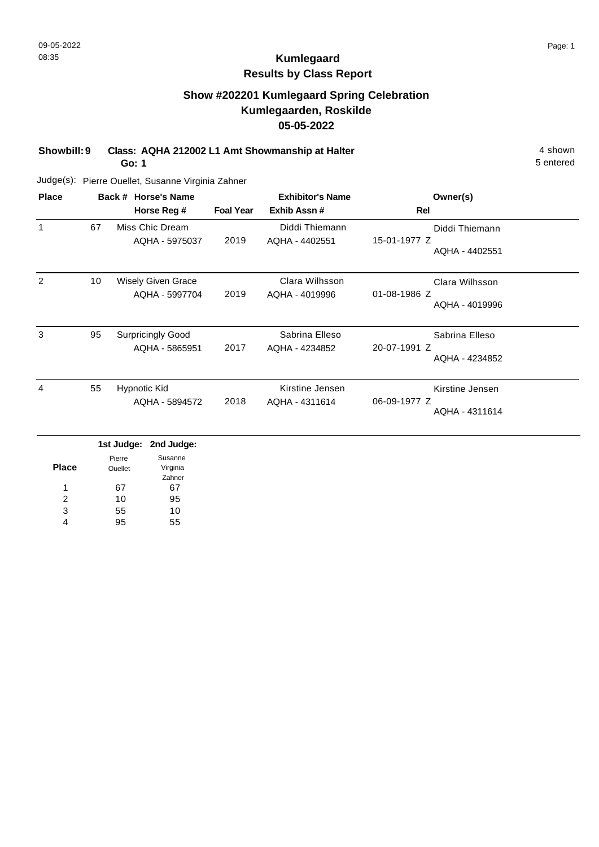## **Show #202201 Kumlegaard Spring Celebration Kumlegaarden, Roskilde 05-05-2022**

**Showbill: 9 Class: AQHA 212002 L1 Amt Showmanship at Halter** 4 shown

**Go: 1**

5 entered

| <b>Place</b> |    | Back # Horse's Name                         |                  | <b>Exhibitor's Name</b>           | Owner(s)                                          |
|--------------|----|---------------------------------------------|------------------|-----------------------------------|---------------------------------------------------|
|              |    | Horse Reg #                                 | <b>Foal Year</b> | Exhib Assn#                       | Rel                                               |
|              | 67 | Miss Chic Dream<br>AQHA - 5975037           | 2019             | Diddi Thiemann<br>AQHA - 4402551  | Diddi Thiemann<br>15-01-1977 Z<br>AQHA - 4402551  |
| 2            | 10 | <b>Wisely Given Grace</b><br>AQHA - 5997704 | 2019             | Clara Wilhsson<br>AQHA - 4019996  | Clara Wilhsson<br>01-08-1986 Z<br>AQHA - 4019996  |
| 3            | 95 | <b>Surpricingly Good</b><br>AQHA - 5865951  | 2017             | Sabrina Elleso<br>AQHA - 4234852  | Sabrina Elleso<br>20-07-1991 Z<br>AQHA - 4234852  |
| 4            | 55 | Hypnotic Kid<br>AQHA - 5894572              | 2018             | Kirstine Jensen<br>AQHA - 4311614 | Kirstine Jensen<br>06-09-1977 Z<br>AQHA - 4311614 |

|              |                | 1st Judge: 2nd Judge: |
|--------------|----------------|-----------------------|
|              | Pierre         | Susanne               |
| <b>Place</b> | <b>Ouellet</b> | Virginia              |
|              |                | Zahner                |
| 1            | 67             | 67                    |
| 2            | 10             | 95                    |
| 3            | 55             | 10                    |
|              | 95             | 55                    |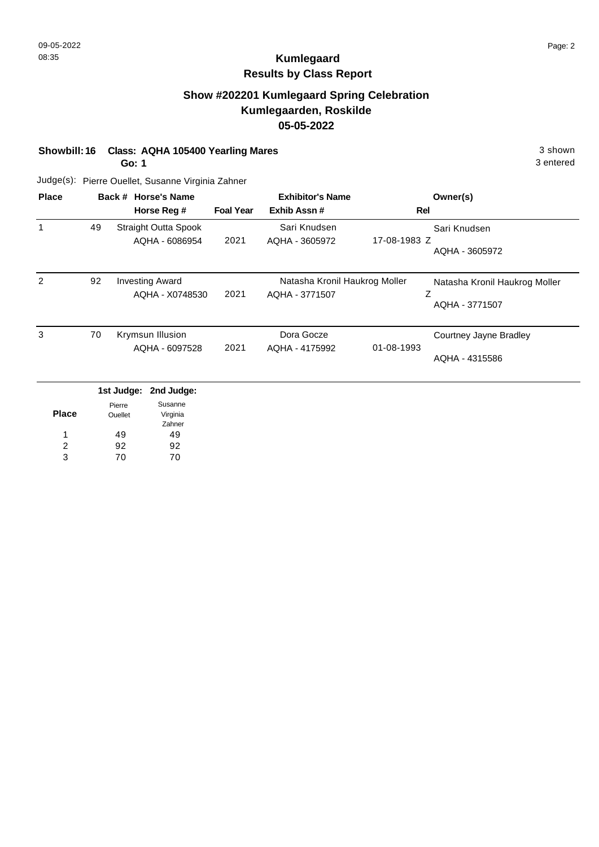### **Show #202201 Kumlegaard Spring Celebration Kumlegaarden, Roskilde 05-05-2022**

**Showbill: 16 Class: AQHA 105400 Yearling Mares** 3 shown

**Go: 1**

Judge(s): Pierre Ouellet, Susanne Virginia Zahner

| <b>Place</b> |    | Back # Horse's Name<br>Horse Reg #            | <b>Foal Year</b> | <b>Exhibitor's Name</b><br>Exhib Assn#          | Owner(s)<br>Rel                                        |
|--------------|----|-----------------------------------------------|------------------|-------------------------------------------------|--------------------------------------------------------|
|              | 49 | <b>Straight Outta Spook</b><br>AQHA - 6086954 | 2021             | Sari Knudsen<br>AQHA - 3605972                  | Sari Knudsen<br>17-08-1983 Z<br>AQHA - 3605972         |
| 2            | 92 | <b>Investing Award</b><br>AQHA - X0748530     | 2021             | Natasha Kronil Haukrog Moller<br>AQHA - 3771507 | Natasha Kronil Haukrog Moller<br>Ζ<br>AQHA - 3771507   |
| 3            | 70 | Krymsun Illusion<br>AQHA - 6097528            | 2021             | Dora Gocze<br>AQHA - 4175992                    | Courtney Jayne Bradley<br>01-08-1993<br>AQHA - 4315586 |
|              |    | 1st Judge:<br>2nd Judge:<br>Susanne<br>Pierre |                  |                                                 |                                                        |

|              | Pierre      | Susanne  |
|--------------|-------------|----------|
| <b>Place</b> | Ouellet     | Virginia |
|              |             | Zahner   |
| 1            | 49          | 49       |
| 2            | 92          | 92       |
| ٩            | $\prime$ () |          |

3 entered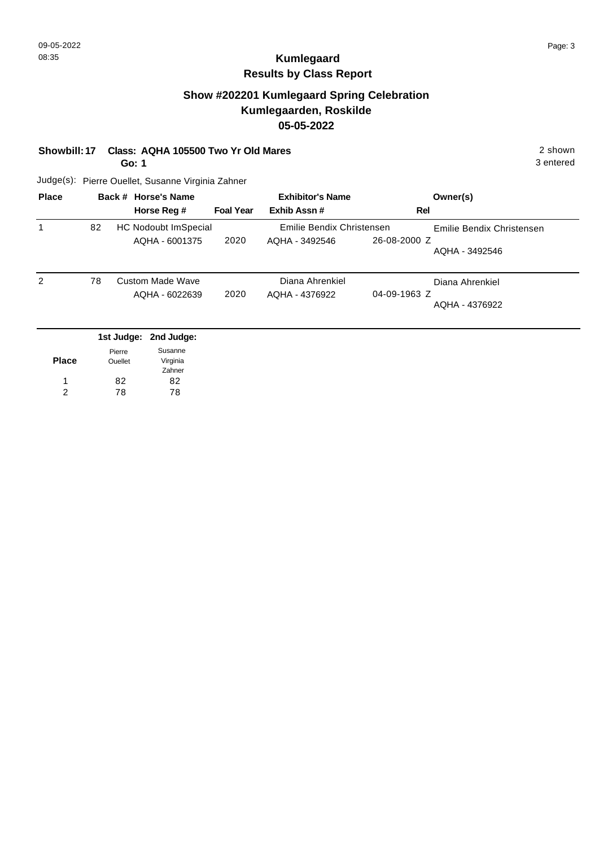### **Show #202201 Kumlegaard Spring Celebration Kumlegaarden, Roskilde 05-05-2022**

#### **Showbill: 17 Class: AQHA 105500 Two Yr Old Mares** 2 Shown

**Go: 1**

3 entered

| <b>Place</b> |    | Back # Horse's Name                           | <b>Exhibitor's Name</b> |                                             |              | Owner(s)                                    |
|--------------|----|-----------------------------------------------|-------------------------|---------------------------------------------|--------------|---------------------------------------------|
|              |    | Horse Reg #                                   | <b>Foal Year</b>        | Exhib Assn#                                 | Rel          |                                             |
|              | 82 | <b>HC Nodoubt ImSpecial</b><br>AQHA - 6001375 | 2020                    | Emilie Bendix Christensen<br>AQHA - 3492546 | 26-08-2000 Z | Emilie Bendix Christensen<br>AQHA - 3492546 |
| 2            | 78 | Custom Made Wave<br>AQHA - 6022639            | 2020                    | Diana Ahrenkiel<br>AQHA - 4376922           | 04-09-1963 Z | Diana Ahrenkiel<br>AQHA - 4376922           |
|              |    | 1st Judge: 2nd Judge:                         |                         |                                             |              |                                             |

|              | Pierre  | Susanne  |
|--------------|---------|----------|
| <b>Place</b> | Ouellet | Virginia |
|              |         | Zahner   |
| 1            | 82      | 82       |
| 2            | 78      | 78       |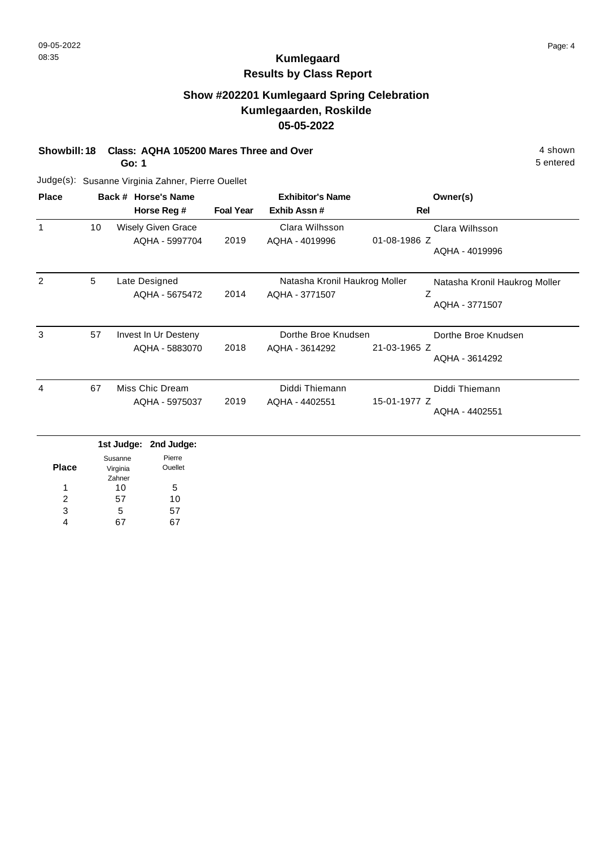### **Show #202201 Kumlegaard Spring Celebration Kumlegaarden, Roskilde 05-05-2022**

**Showbill: 18 Class: AQHA 105200 Mares Three and Over** 4 shown 4 shown

**Go: 1**

Judge(s): Susanne Virginia Zahner, Pierre Ouellet

| <b>Place</b> |    | Back # Horse's Name                         | <b>Exhibitor's Name</b> |                                                 | Owner(s)                                              |
|--------------|----|---------------------------------------------|-------------------------|-------------------------------------------------|-------------------------------------------------------|
|              |    | Horse Reg #                                 | <b>Foal Year</b>        | Exhib Assn#                                     | Rel                                                   |
|              | 10 | <b>Wisely Given Grace</b><br>AQHA - 5997704 | 2019                    | Clara Wilhsson<br>AQHA - 4019996                | Clara Wilhsson<br>01-08-1986 Z<br>AQHA - 4019996      |
| 2            | 5  | Late Designed<br>AQHA - 5675472             | 2014                    | Natasha Kronil Haukrog Moller<br>AQHA - 3771507 | Natasha Kronil Haukrog Moller<br>Z<br>AQHA - 3771507  |
| 3            | 57 | Invest In Ur Desteny<br>AQHA - 5883070      | 2018                    | Dorthe Broe Knudsen<br>AQHA - 3614292           | Dorthe Broe Knudsen<br>21-03-1965 Z<br>AQHA - 3614292 |
| 4            | 67 | Miss Chic Dream<br>AQHA - 5975037           | 2019                    | Diddi Thiemann<br>AQHA - 4402551                | Diddi Thiemann<br>15-01-1977 Z<br>AQHA - 4402551      |

|       |          | 1st Judge: 2nd Judge: |
|-------|----------|-----------------------|
|       | Susanne  | Pierre                |
| Place | Virginia | <b>Ouellet</b>        |
|       | Zahner   |                       |
| 1     | 10       | 5                     |
| 2     | 57       | 10                    |
| 3     | 5        | 57                    |
|       |          |                       |

5 entered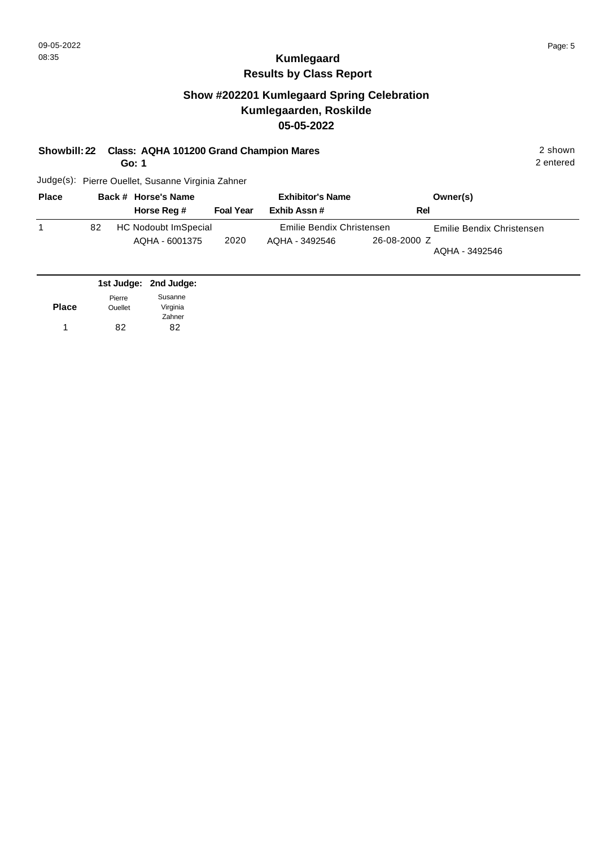### **Show #202201 Kumlegaard Spring Celebration Kumlegaarden, Roskilde 05-05-2022**

#### **Showbill: 22 Class: AQHA 101200 Grand Champion Mares** 2 shown

**Go: 1**

Judge(s): Pierre Ouellet, Susanne Virginia Zahner

| <b>Place</b> |    | Back # Horse's Name                    |                  | <b>Exhibitor's Name</b>                     |              | Owner(s)                                    |
|--------------|----|----------------------------------------|------------------|---------------------------------------------|--------------|---------------------------------------------|
|              |    | Horse Reg #                            | <b>Foal Year</b> | Exhib Assn #                                | Rel          |                                             |
|              | 82 | HC Nodoubt ImSpecial<br>AQHA - 6001375 | 2020             | Emilie Bendix Christensen<br>AOHA - 3492546 | 26-08-2000 Z | Emilie Bendix Christensen<br>AQHA - 3492546 |

|              |                | 1st Judge: 2nd Judge: |
|--------------|----------------|-----------------------|
|              | Pierre         | Susanne               |
| <b>Place</b> | <b>Ouellet</b> | Virginia              |
|              |                | Zahner                |
|              | 82             | 82                    |

2 entered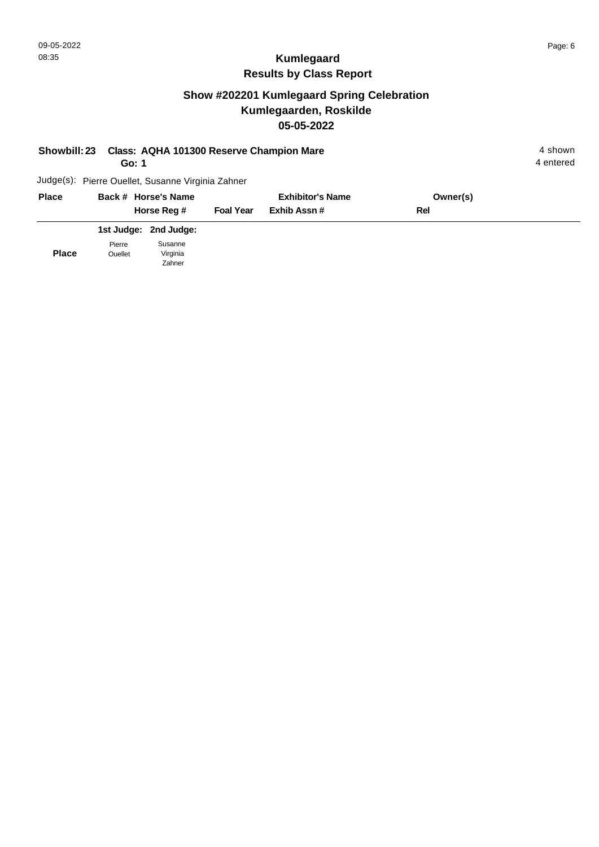# **Show #202201 Kumlegaard Spring Celebration Kumlegaarden, Roskilde 05-05-2022**

| <b>Showbill: 23</b> |        | Class: AQHA 101300 Reserve Champion Mare<br>Go: 1 |                  |                         |          | 4 shown<br>4 entered |
|---------------------|--------|---------------------------------------------------|------------------|-------------------------|----------|----------------------|
|                     |        | Judge(s): Pierre Ouellet, Susanne Virginia Zahner |                  |                         |          |                      |
| <b>Place</b>        |        | Back # Horse's Name                               |                  | <b>Exhibitor's Name</b> | Owner(s) |                      |
|                     |        | Horse Reg #                                       | <b>Foal Year</b> | Exhib Assn#             | Rel      |                      |
|                     |        | 1st Judge: 2nd Judge:                             |                  |                         |          |                      |
|                     | Pierre | Susanne                                           |                  |                         |          |                      |

**Place** Pierre Ouellet Virginia Zahner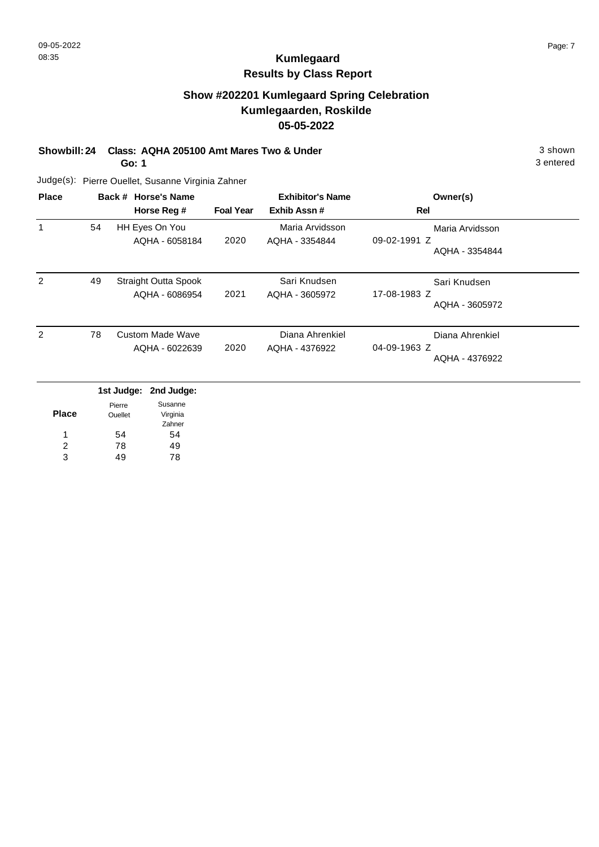## **Show #202201 Kumlegaard Spring Celebration Kumlegaarden, Roskilde 05-05-2022**

**Showbill: 24 Class: AQHA 205100 Amt Mares Two & Under** 3 shown

**Go: 1**

Judge(s): Pierre Ouellet, Susanne Virginia Zahner

| <b>Place</b> |    | Back # Horse's Name<br>Horse Reg #            | <b>Foal Year</b> | <b>Exhibitor's Name</b><br>Exhib Assn# | Owner(s)<br>Rel                                   |
|--------------|----|-----------------------------------------------|------------------|----------------------------------------|---------------------------------------------------|
| 1            | 54 | HH Eyes On You<br>AQHA - 6058184              | 2020             | Maria Arvidsson<br>AQHA - 3354844      | Maria Arvidsson<br>09-02-1991 Z<br>AQHA - 3354844 |
| 2            | 49 | <b>Straight Outta Spook</b><br>AQHA - 6086954 | 2021             | Sari Knudsen<br>AQHA - 3605972         | Sari Knudsen<br>17-08-1983 Z<br>AQHA - 3605972    |
| 2            | 78 | <b>Custom Made Wave</b><br>AQHA - 6022639     | 2020             | Diana Ahrenkiel<br>AQHA - 4376922      | Diana Ahrenkiel<br>04-09-1963 Z<br>AQHA - 4376922 |
|              |    | 1st Judge: 2nd Judge:                         |                  |                                        |                                                   |

|              |         | ist Juuye. Zilu Juuye. |
|--------------|---------|------------------------|
|              | Pierre  | Susanne                |
| <b>Place</b> | Ouellet | Virginia               |
|              |         | Zahner                 |
| 1            | 54      | 54                     |
| 2            | 78      | 49                     |
| 3            | 49      | 78                     |

3 entered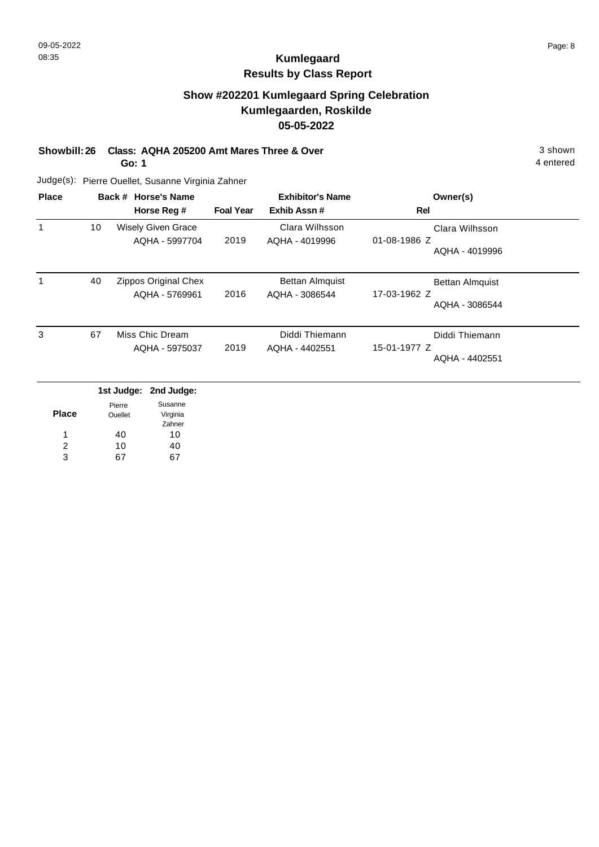## **Show #202201 Kumlegaard Spring Celebration Kumlegaarden, Roskilde 05-05-2022**

**Showbill: 26 Class: AQHA 205200 Amt Mares Three & Over** 3 shown 3 shown

**Go: 1**

Judge(s): Pierre Ouellet, Susanne Virginia Zahner

| <b>Place</b> |    | Back # Horse's Name<br>Horse Reg #          | <b>Foal Year</b> | <b>Exhibitor's Name</b><br>Exhib Assn#   | Owner(s)<br>Rel                                          |
|--------------|----|---------------------------------------------|------------------|------------------------------------------|----------------------------------------------------------|
| 1            | 10 | <b>Wisely Given Grace</b><br>AQHA - 5997704 | 2019             | Clara Wilhsson<br>AQHA - 4019996         | Clara Wilhsson<br>01-08-1986 Z<br>AQHA - 4019996         |
| 1            | 40 | Zippos Original Chex<br>AQHA - 5769961      | 2016             | <b>Bettan Almquist</b><br>AQHA - 3086544 | <b>Bettan Almquist</b><br>17-03-1962 Z<br>AQHA - 3086544 |
| 3            | 67 | Miss Chic Dream<br>AQHA - 5975037           | 2019             | Diddi Thiemann<br>AQHA - 4402551         | Diddi Thiemann<br>15-01-1977 Z<br>AQHA - 4402551         |

|       |                          | 1st Judge: 2nd Judge: |
|-------|--------------------------|-----------------------|
| Place | Pierre<br><b>Ouellet</b> | Susanne<br>Virginia   |
|       |                          | Zahner                |
| 1     | 40                       | 10                    |
| 2     | 10                       | 40                    |
| વ     |                          |                       |

4 entered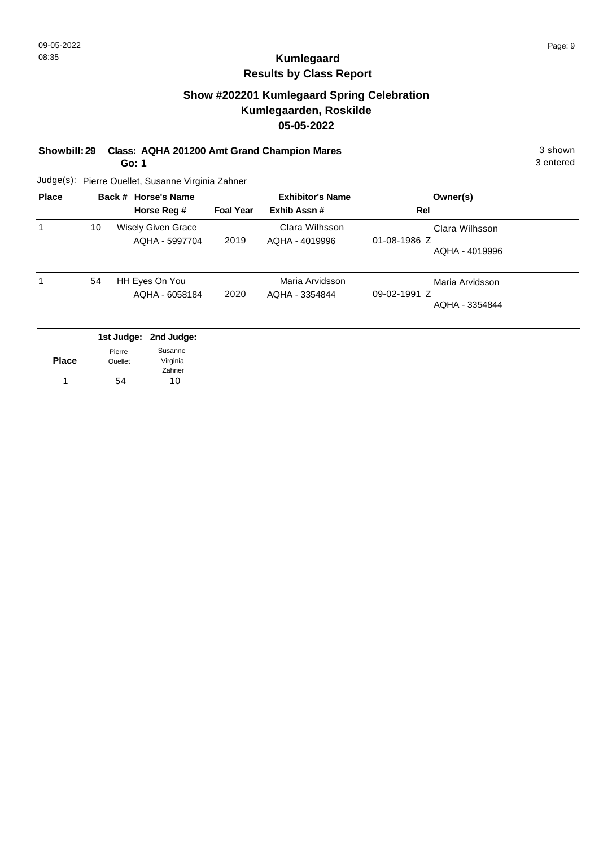### **Show #202201 Kumlegaard Spring Celebration Kumlegaarden, Roskilde 05-05-2022**

**Showbill: 29 Class: AQHA 201200 Amt Grand Champion Mares** 3 shown

**Go: 1**

3 entered

| <b>Place</b> | Back # Horse's Name<br>Horse Reg # |                                             | <b>Exhibitor's Name</b><br><b>Foal Year</b><br>Exhib Assn# |                                   | Owner(s)<br>Rel                                        |
|--------------|------------------------------------|---------------------------------------------|------------------------------------------------------------|-----------------------------------|--------------------------------------------------------|
|              | 10                                 | <b>Wisely Given Grace</b><br>AQHA - 5997704 | 2019                                                       | Clara Wilhsson<br>AQHA - 4019996  | Clara Wilhsson<br>$01 - 08 - 1986$ Z<br>AQHA - 4019996 |
|              | 54                                 | HH Eyes On You<br>AQHA - 6058184            | 2020                                                       | Maria Arvidsson<br>AQHA - 3354844 | Maria Arvidsson<br>$09-02-1991$ Z<br>AQHA - 3354844    |

|                | 1st Judge: 2nd Judge: |
|----------------|-----------------------|
| Pierre         | Susanne               |
| <b>Ouellet</b> | Virginia              |
|                | Zahner                |
| 54             | 10                    |
|                |                       |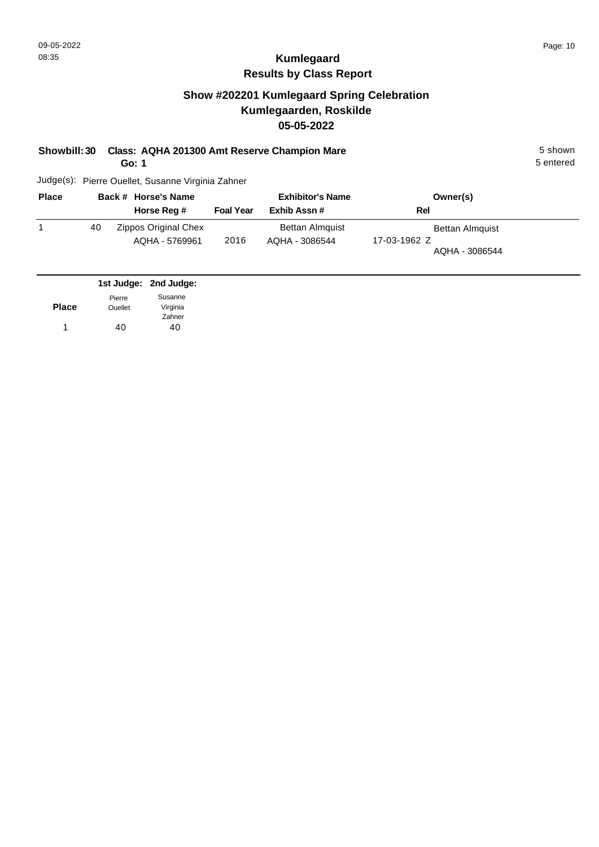## **Show #202201 Kumlegaard Spring Celebration Kumlegaarden, Roskilde 05-05-2022**

**Showbill: 30 Class: AQHA 201300 Amt Reserve Champion Mare** 5 Shown 5 shown

**Go: 1**

5 entered

| <b>Place</b> |    | Back # Horse's Name                    | <b>Exhibitor's Name</b> |                                          | Owner(s)                                                 |  |  |
|--------------|----|----------------------------------------|-------------------------|------------------------------------------|----------------------------------------------------------|--|--|
|              |    | Horse Reg #                            | <b>Foal Year</b>        | Exhib Assn #                             | Rel                                                      |  |  |
|              | 40 | Zippos Original Chex<br>AQHA - 5769961 | 2016                    | <b>Bettan Almquist</b><br>AQHA - 3086544 | <b>Bettan Almquist</b><br>17-03-1962 Z<br>AQHA - 3086544 |  |  |

|              |                | 1st Judge: 2nd Judge: |
|--------------|----------------|-----------------------|
|              | Pierre         | Susanne               |
| <b>Place</b> | <b>Ouellet</b> | Virginia              |
|              |                | Zahner                |
|              | 40             | 40                    |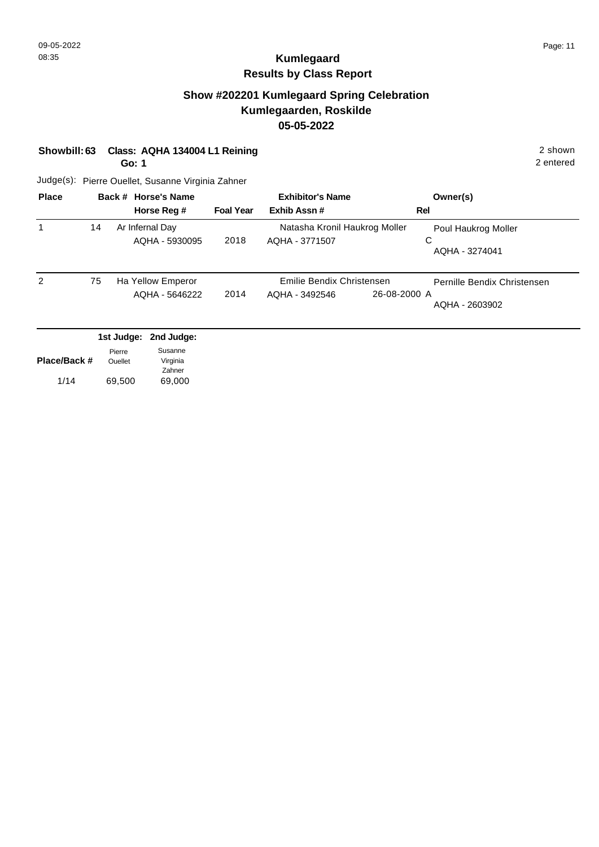### **Show #202201 Kumlegaard Spring Celebration Kumlegaarden, Roskilde 05-05-2022**

| Showbill: 63 Class: AQHA 134004 L1 Reining | 2 shown |
|--------------------------------------------|---------|
|                                            |         |

**Go: 1**

2 entered

| <b>Place</b> |    | Back # Horse's Name<br>Horse Reg # | <b>Foal Year</b> | <b>Exhibitor's Name</b><br>Exhib Assn#          |              | Owner(s)<br>Rel                            |
|--------------|----|------------------------------------|------------------|-------------------------------------------------|--------------|--------------------------------------------|
|              | 14 | Ar Infernal Day<br>AQHA - 5930095  | 2018             | Natasha Kronil Haukrog Moller<br>AQHA - 3771507 |              | Poul Haukrog Moller<br>C<br>AQHA - 3274041 |
| 2            | 75 | Ha Yellow Emperor                  |                  | Emilie Bendix Christensen                       |              | Pernille Bendix Christensen                |
|              |    | AQHA - 5646222                     | 2014             | AQHA - 3492546                                  | 26-08-2000 A | AQHA - 2603902                             |

| Place/Back # | Pierre<br><b>Ouellet</b> | Susanne<br>Virginia |
|--------------|--------------------------|---------------------|
|              |                          | Zahner              |
| 1/14         | 69,500                   | 69,000              |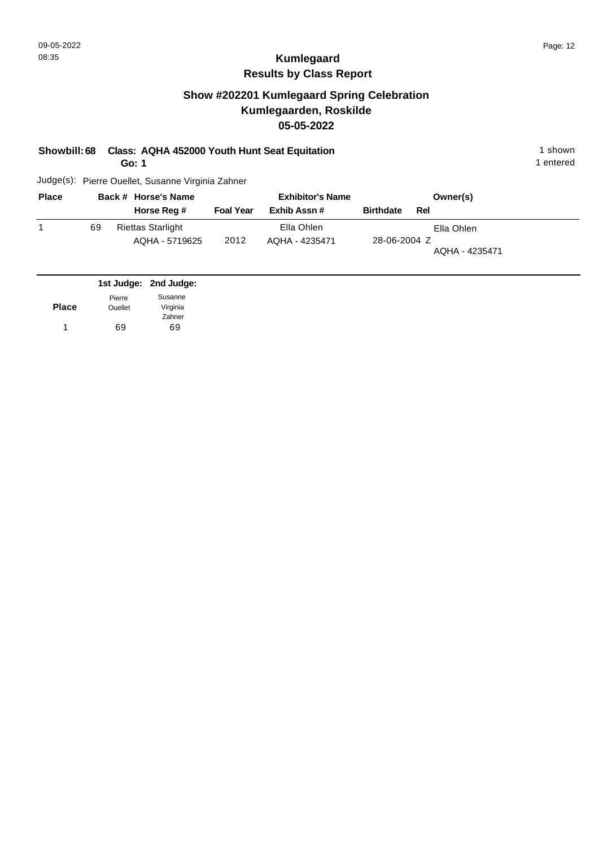## **Show #202201 Kumlegaard Spring Celebration Kumlegaarden, Roskilde 05-05-2022**

| Showbill: 68 Class: AQHA 452000 Youth Hunt Seat Equitation | 1 shown |
|------------------------------------------------------------|---------|
|                                                            |         |

**Go: 1**

1 entered

| <b>Place</b> |    | Back # Horse's Name                        |                  | <b>Exhibitor's Name</b>      |                  | Owner(s)                     |
|--------------|----|--------------------------------------------|------------------|------------------------------|------------------|------------------------------|
|              |    | Horse Reg #                                | <b>Foal Year</b> | Exhib Assn #                 | <b>Birthdate</b> | Rel                          |
|              | 69 | <b>Riettas Starlight</b><br>AQHA - 5719625 | 2012             | Ella Ohlen<br>AQHA - 4235471 | 28-06-2004 Z     | Ella Ohlen<br>AQHA - 4235471 |

|              |                | 1st Judge: 2nd Judge: |
|--------------|----------------|-----------------------|
|              | Pierre         | Susanne               |
| <b>Place</b> | <b>Ouellet</b> | Virginia              |
|              |                | Zahner                |
| 1.           | 69             | 69                    |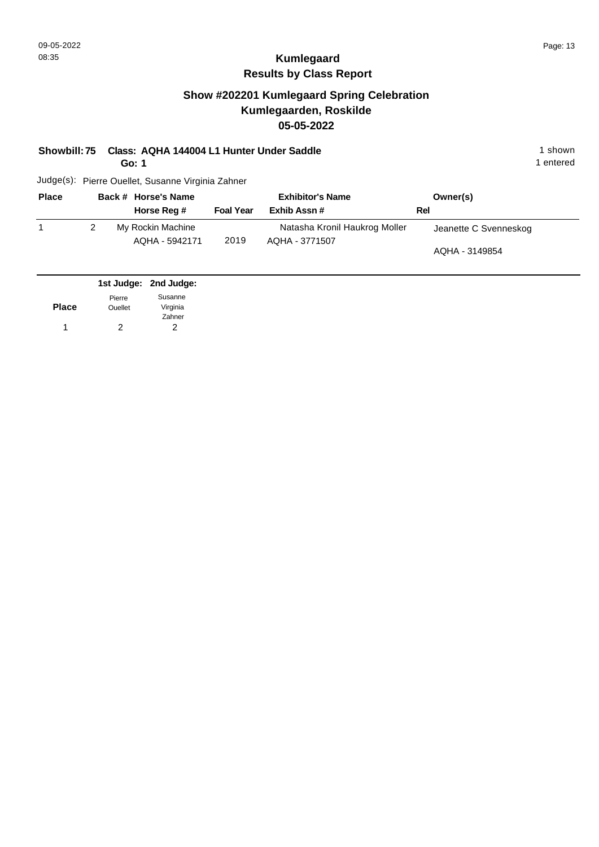1 entered

# **Kumlegaard Results by Class Report**

### **Show #202201 Kumlegaard Spring Celebration Kumlegaarden, Roskilde 05-05-2022**

**Showbill: 75 Class: AQHA 144004 L1 Hunter Under Saddle** 1 shown

**Go: 1**

| <b>Place</b> | Back # Horse's Name                 |                  | <b>Exhibitor's Name</b>                         | Owner(s)                                |
|--------------|-------------------------------------|------------------|-------------------------------------------------|-----------------------------------------|
|              | Horse Reg #                         | <b>Foal Year</b> | Exhib Assn#                                     | Rel                                     |
|              | My Rockin Machine<br>AQHA - 5942171 | 2019             | Natasha Kronil Haukrog Moller<br>AQHA - 3771507 | Jeanette C Svenneskog<br>AQHA - 3149854 |

|              |                | 1st Judge: 2nd Judge: |
|--------------|----------------|-----------------------|
|              | Pierre         | Susanne               |
| <b>Place</b> | <b>Ouellet</b> | Virginia              |
|              |                | Zahner                |
|              | 2              | 2                     |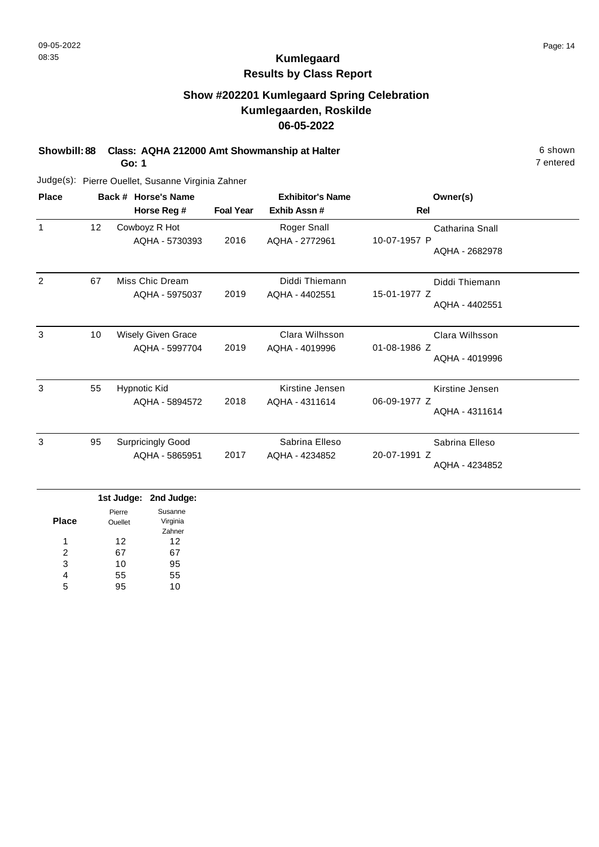7 entered

# **Kumlegaard Results by Class Report**

## **Show #202201 Kumlegaard Spring Celebration Kumlegaarden, Roskilde 06-05-2022**

**Showbill: 88 Class: AQHA 212000 Amt Showmanship at Halter** 6 shown

**Go: 1**

| <b>Place</b>   |                 | Back # Horse's Name                        |                  | <b>Exhibitor's Name</b>              | Owner(s)                                          |
|----------------|-----------------|--------------------------------------------|------------------|--------------------------------------|---------------------------------------------------|
|                |                 | Horse Reg #                                | <b>Foal Year</b> | Exhib Assn#                          | Rel                                               |
| $\mathbf{1}$   | 12 <sub>2</sub> | Cowboyz R Hot<br>AQHA - 5730393            | 2016             | <b>Roger Snall</b><br>AQHA - 2772961 | Catharina Snall<br>10-07-1957 P<br>AQHA - 2682978 |
| $\overline{2}$ | 67              | Miss Chic Dream<br>AQHA - 5975037          | 2019             | Diddi Thiemann<br>AQHA - 4402551     | Diddi Thiemann<br>15-01-1977 Z<br>AQHA - 4402551  |
| 3              | 10              | Wisely Given Grace<br>AQHA - 5997704       | 2019             | Clara Wilhsson<br>AQHA - 4019996     | Clara Wilhsson<br>01-08-1986 Z<br>AQHA - 4019996  |
| 3              | 55              | <b>Hypnotic Kid</b><br>AQHA - 5894572      | 2018             | Kirstine Jensen<br>AQHA - 4311614    | Kirstine Jensen<br>06-09-1977 Z<br>AQHA - 4311614 |
| 3              | 95              | <b>Surpricingly Good</b><br>AQHA - 5865951 | 2017             | Sabrina Elleso<br>AQHA - 4234852     | Sabrina Elleso<br>20-07-1991 Z<br>AQHA - 4234852  |

|              |                | 1st Judge: 2nd Judge: |
|--------------|----------------|-----------------------|
|              | Pierre         | Susanne               |
| <b>Place</b> | <b>Ouellet</b> | Virginia              |
|              |                | Zahner                |
| 1            | 12             | 12                    |
| 2            | 67             | 67                    |
| 3            | 10             | 95                    |
| 4            | 55             | 55                    |
| 5            | 95             | 10                    |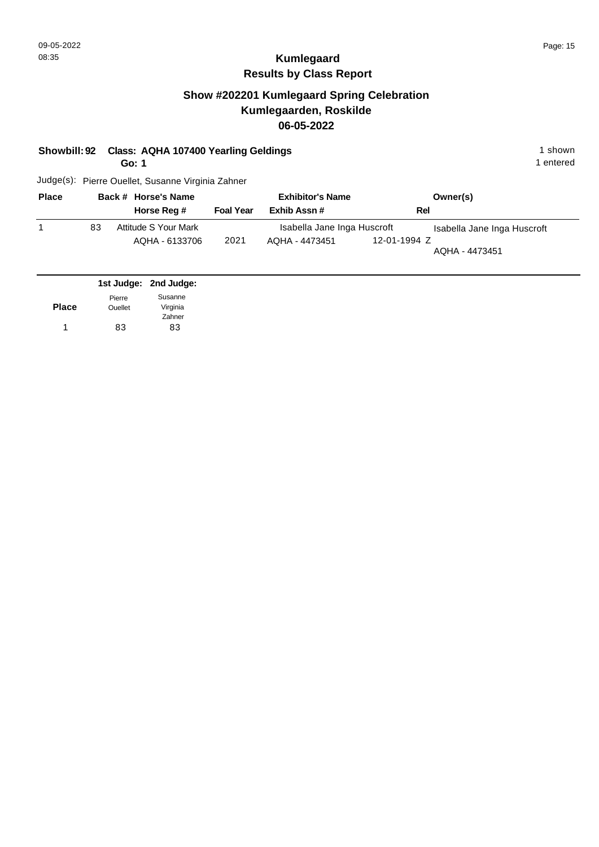### **Show #202201 Kumlegaard Spring Celebration Kumlegaarden, Roskilde 06-05-2022**

**Showbill: 92 Class: AQHA 107400 Yearling Geldings 1 Shown 1 shown 1 shown** 

**Go: 1**

1 entered

| <b>Place</b> |    | Back # Horse's Name  | <b>Exhibitor's Name</b> |                             |              | Owner(s)                    |
|--------------|----|----------------------|-------------------------|-----------------------------|--------------|-----------------------------|
|              |    | Horse Reg #          | <b>Foal Year</b>        | Exhib Assn#                 | Rel          |                             |
|              | 83 | Attitude S Your Mark |                         | Isabella Jane Inga Huscroft |              | Isabella Jane Inga Huscroft |
|              |    | AQHA - 6133706       | 2021                    | AQHA - 4473451              | 12-01-1994 Z | AQHA - 4473451              |

|              |                | 1st Judge: 2nd Judge: |
|--------------|----------------|-----------------------|
|              | Pierre         | Susanne               |
| <b>Place</b> | <b>Ouellet</b> | Virginia              |
|              |                | Zahner                |
| 1            | 83             | 83                    |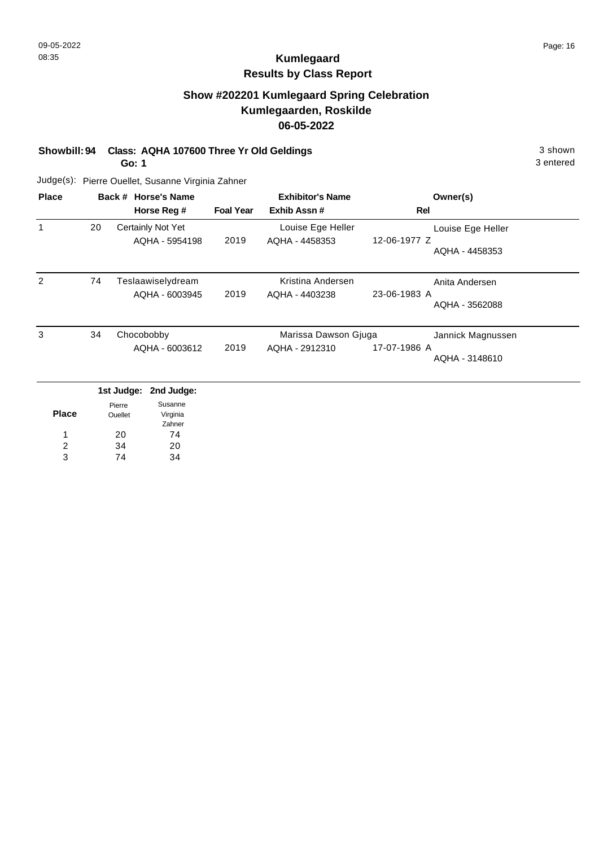3 entered

# **Kumlegaard Results by Class Report**

## **Show #202201 Kumlegaard Spring Celebration Kumlegaarden, Roskilde 06-05-2022**

#### **Showbill: 94 Class: AQHA 107600 Three Yr Old Geldings** 3 shown

**Go: 1**

| <b>Place</b> |    | Back # Horse's Name<br>Horse Reg #  | <b>Foal Year</b> | <b>Exhibitor's Name</b><br>Exhib Assn# | Owner(s)<br>Rel                                     |
|--------------|----|-------------------------------------|------------------|----------------------------------------|-----------------------------------------------------|
|              | 20 | Certainly Not Yet<br>AQHA - 5954198 | 2019             | Louise Ege Heller<br>AQHA - 4458353    | Louise Ege Heller<br>12-06-1977 Z<br>AQHA - 4458353 |
| 2            | 74 | Teslaawiselydream<br>AQHA - 6003945 | 2019             | Kristina Andersen<br>AQHA - 4403238    | Anita Andersen<br>23-06-1983 A<br>AQHA - 3562088    |
| 3            | 34 | Chocobobby<br>AQHA - 6003612        | 2019             | Marissa Dawson Gjuga<br>AQHA - 2912310 | Jannick Magnussen<br>17-07-1986 A<br>AQHA - 3148610 |

|       |                          | 1st Judge: 2nd Judge: |
|-------|--------------------------|-----------------------|
| Place | Pierre<br><b>Ouellet</b> | Susanne<br>Virginia   |
|       |                          | Zahner                |
| 1     | 20                       | 74                    |
| 2     | 34                       | 20                    |
| વ     | 74                       |                       |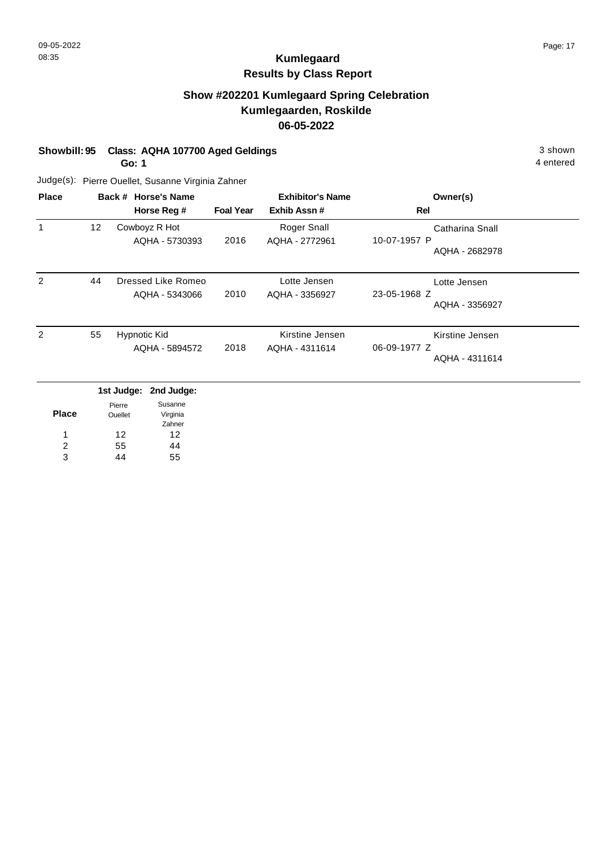## **Show #202201 Kumlegaard Spring Celebration Kumlegaarden, Roskilde 06-05-2022**

**Showbill: 95 Class: AQHA 107700 Aged Geldings** 3 shown

**Go: 1**

4 entered

|                 | Horse Reg #                           | <b>Foal Year</b>    | <b>Exhibitor's Name</b><br>Exhib Assn# | Owner(s)<br>Rel                                   |
|-----------------|---------------------------------------|---------------------|----------------------------------------|---------------------------------------------------|
| 12 <sub>2</sub> | Cowboyz R Hot<br>AQHA - 5730393       | 2016                | Roger Snall<br>AQHA - 2772961          | Catharina Snall<br>10-07-1957 P<br>AQHA - 2682978 |
| 44              | AQHA - 5343066                        | 2010                | Lotte Jensen<br>AQHA - 3356927         | Lotte Jensen<br>23-05-1968 Z<br>AQHA - 3356927    |
| 55              | <b>Hypnotic Kid</b><br>AQHA - 5894572 | 2018                | Kirstine Jensen<br>AQHA - 4311614      | Kirstine Jensen<br>06-09-1977 Z<br>AQHA - 4311614 |
|                 |                                       | Back # Horse's Name | Dressed Like Romeo                     |                                                   |

|       |                          | 1st Judge: 2nd Judge: |
|-------|--------------------------|-----------------------|
| Place | Pierre<br><b>Ouellet</b> | Susanne<br>Virginia   |
|       |                          | Zahner                |
| 1     | 12                       | 12                    |
| 2     | 55                       | 44                    |
| વ     | 14                       | 55                    |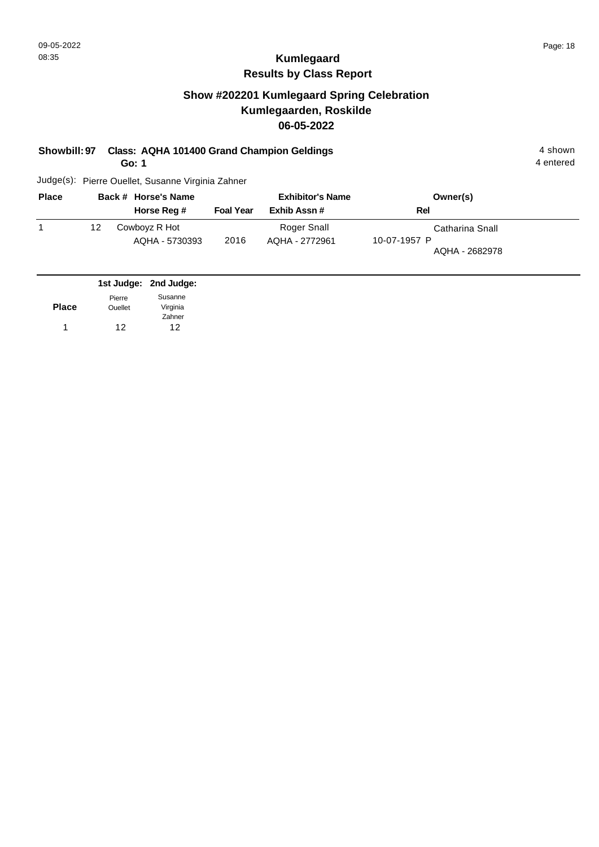4 entered

## **Kumlegaard Results by Class Report**

## **Show #202201 Kumlegaard Spring Celebration Kumlegaarden, Roskilde 06-05-2022**

#### **Showbill: 97 Class: AQHA 101400 Grand Champion Geldings** 4 shown

**Go: 1**

| <b>Place</b> |    | Back # Horse's Name             |                  | <b>Exhibitor's Name</b>       | Owner(s)                                          |
|--------------|----|---------------------------------|------------------|-------------------------------|---------------------------------------------------|
|              |    | Horse Reg #                     | <b>Foal Year</b> | Exhib Assn#                   | Rel                                               |
|              | 12 | Cowboyz R Hot<br>AQHA - 5730393 | 2016             | Roger Snall<br>AQHA - 2772961 | Catharina Snall<br>10-07-1957 P<br>AQHA - 2682978 |

|              |                | 1st Judge: 2nd Judge: |
|--------------|----------------|-----------------------|
|              | Pierre         | Susanne               |
| <b>Place</b> | <b>Ouellet</b> | Virginia              |
|              |                | Zahner                |
| 1            | 12             | 12                    |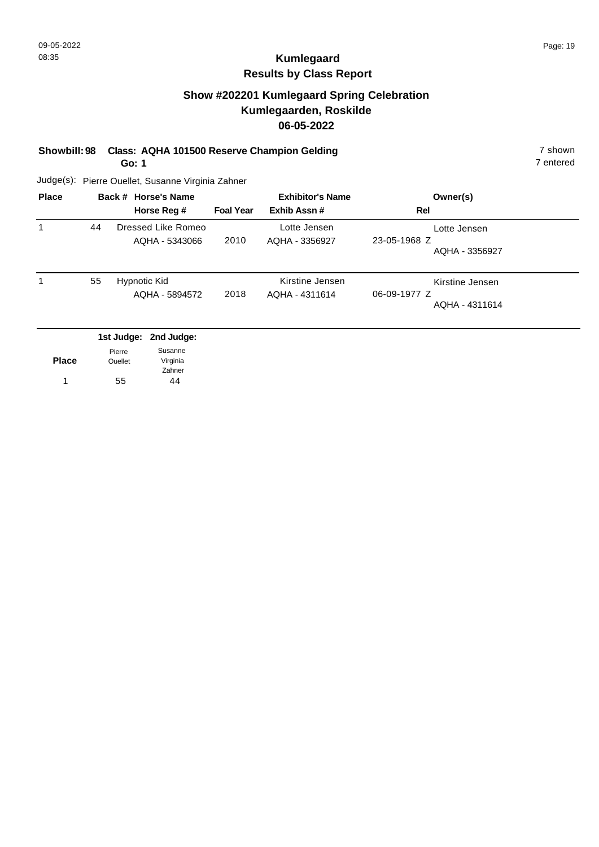### **Show #202201 Kumlegaard Spring Celebration Kumlegaarden, Roskilde 06-05-2022**

**Showbill: 98 Class: AQHA 101500 Reserve Champion Gelding 7 Shown 7 shown** 

**Go: 1**

7 entered

| <b>Place</b> |    | Back # Horse's Name<br>Horse Reg #   | <b>Foal Year</b> | <b>Exhibitor's Name</b><br>Exhib Assn# | Owner(s)<br>Rel                                   |
|--------------|----|--------------------------------------|------------------|----------------------------------------|---------------------------------------------------|
|              | 44 | Dressed Like Romeo<br>AQHA - 5343066 | 2010             | Lotte Jensen<br>AQHA - 3356927         | Lotte Jensen<br>23-05-1968 Z<br>AQHA - 3356927    |
|              | 55 | Hypnotic Kid<br>AQHA - 5894572       | 2018             | Kirstine Jensen<br>AQHA - 4311614      | Kirstine Jensen<br>06-09-1977 Z<br>AQHA - 4311614 |
|              |    | 1st Judge: 2nd Judge:                |                  |                                        |                                                   |

| <b>Place</b> | Pierre<br><b>Ouellet</b> | Susanne<br>Virginia |
|--------------|--------------------------|---------------------|
|              |                          | Zahner              |
|              | 55                       | 44                  |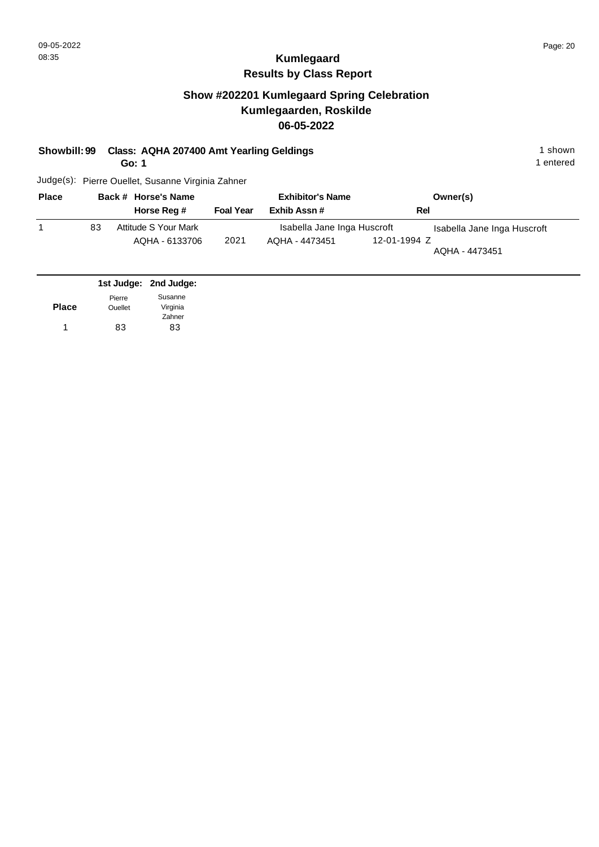### **Show #202201 Kumlegaard Spring Celebration Kumlegaarden, Roskilde 06-05-2022**

#### **Showbill: 99 Class: AQHA 207400 Amt Yearling Geldings** 1 Shown 1 shown

**Go: 1**

1 entered

| <b>Place</b> |    | Back # Horse's Name  | <b>Exhibitor's Name</b> |                             |              | Owner(s)                    |  |
|--------------|----|----------------------|-------------------------|-----------------------------|--------------|-----------------------------|--|
|              |    | Horse Reg #          | <b>Foal Year</b>        | Exhib Assn #                | Rel          |                             |  |
|              | 83 | Attitude S Your Mark |                         | Isabella Jane Inga Huscroft |              | Isabella Jane Inga Huscroft |  |
|              |    | AQHA - 6133706       | 2021                    | AQHA - 4473451              | 12-01-1994 Z | AQHA - 4473451              |  |

|                | 1st Judge: 2nd Judge: |
|----------------|-----------------------|
| Pierre         | Susanne               |
| <b>Ouellet</b> | Virginia              |
|                | Zahner                |
| 83             | 83                    |
|                |                       |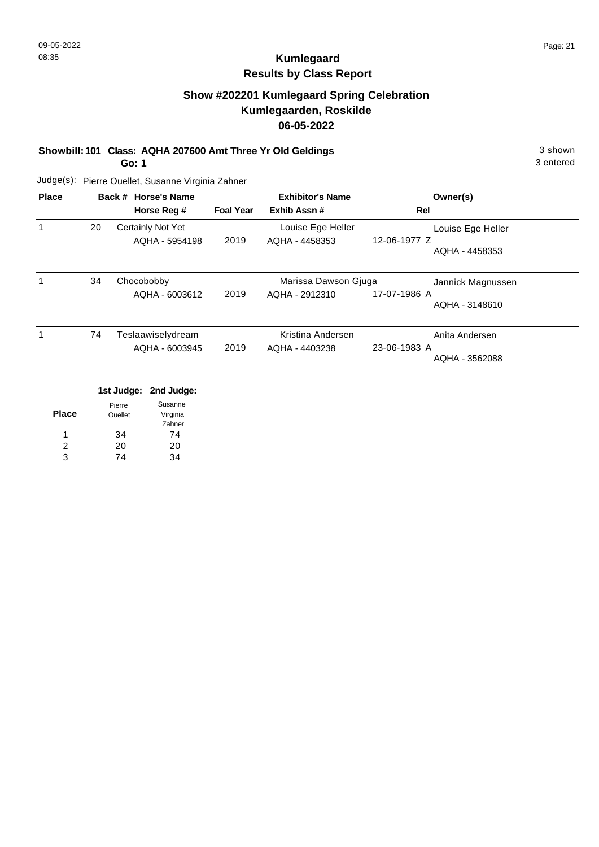3 entered

# **Kumlegaard Results by Class Report**

## **Show #202201 Kumlegaard Spring Celebration Kumlegaarden, Roskilde 06-05-2022**

**Showbill: 101 Class: AQHA 207600 Amt Three Yr Old Geldings** 3 Shown 3 shown

**Go: 1**

| <b>Place</b> |    | Back # Horse's Name<br>Horse Reg #  | <b>Foal Year</b> | <b>Exhibitor's Name</b><br>Exhib Assn# | Owner(s)<br>Rel                                     |
|--------------|----|-------------------------------------|------------------|----------------------------------------|-----------------------------------------------------|
|              | 20 | Certainly Not Yet<br>AQHA - 5954198 | 2019             | Louise Ege Heller<br>AQHA - 4458353    | Louise Ege Heller<br>12-06-1977 Z<br>AQHA - 4458353 |
|              | 34 | Chocobobby<br>AQHA - 6003612        | 2019             | Marissa Dawson Gjuga<br>AQHA - 2912310 | Jannick Magnussen<br>17-07-1986 A<br>AQHA - 3148610 |
|              | 74 | Teslaawiselydream<br>AQHA - 6003945 | 2019             | Kristina Andersen<br>AQHA - 4403238    | Anita Andersen<br>23-06-1983 A<br>AQHA - 3562088    |

|       |                          | 1st Judge: 2nd Judge: |
|-------|--------------------------|-----------------------|
| Place | Pierre<br><b>Ouellet</b> | Susanne<br>Virginia   |
|       |                          | Zahner                |
| 1     | 34                       | 74                    |
| 2     | 20                       | 20                    |
| з     | 74                       | 34                    |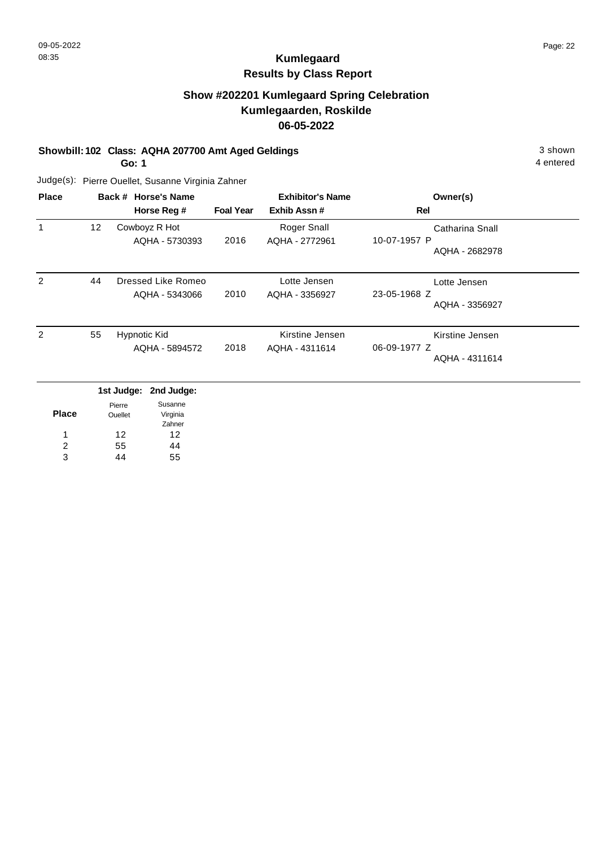## **Show #202201 Kumlegaard Spring Celebration Kumlegaarden, Roskilde 06-05-2022**

#### **Showbill: 102 Class: AQHA 207700 Amt Aged Geldings** 3 shown

**Go: 1**

4 entered

| <b>Place</b> |    | <b>Horse's Name</b><br>Back #<br>Horse Reg # | <b>Foal Year</b> | <b>Exhibitor's Name</b><br>Exhib Assn# | Owner(s)<br>Rel                                   |
|--------------|----|----------------------------------------------|------------------|----------------------------------------|---------------------------------------------------|
|              | 12 | Cowboyz R Hot<br>AQHA - 5730393              | 2016             | Roger Snall<br>AQHA - 2772961          | Catharina Snall<br>10-07-1957 P<br>AQHA - 2682978 |
| 2            | 44 | Dressed Like Romeo<br>AQHA - 5343066         | 2010             | Lotte Jensen<br>AQHA - 3356927         | Lotte Jensen<br>23-05-1968 Z<br>AQHA - 3356927    |
| 2            | 55 | Hypnotic Kid<br>AQHA - 5894572               | 2018             | Kirstine Jensen<br>AQHA - 4311614      | Kirstine Jensen<br>06-09-1977 Z<br>AQHA - 4311614 |

|       |                          | 1st Judge: 2nd Judge: |
|-------|--------------------------|-----------------------|
| Place | Pierre<br><b>Ouellet</b> | Susanne<br>Virginia   |
|       |                          | Zahner                |
| 1     | 12                       | 12                    |
| 2     | 55                       | 44                    |
| વ     | 14                       | 55                    |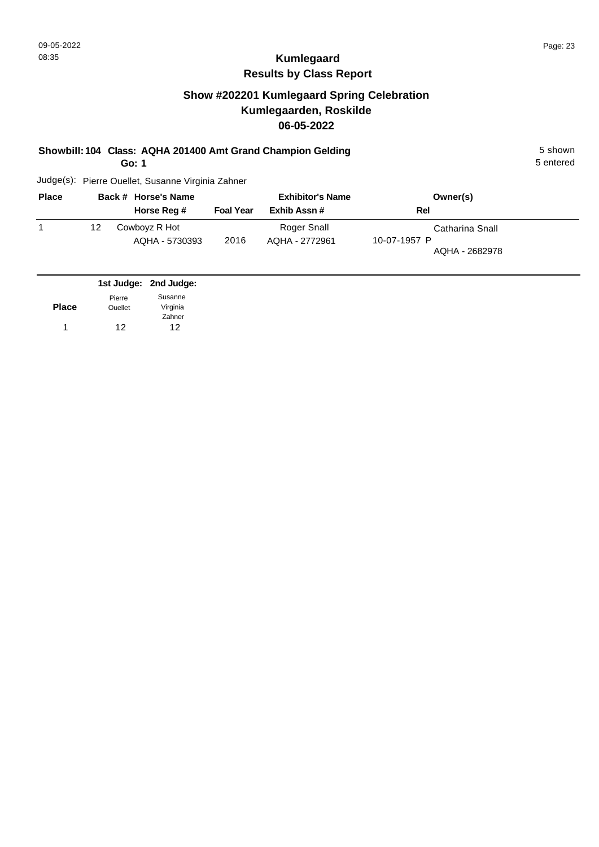## **Show #202201 Kumlegaard Spring Celebration Kumlegaarden, Roskilde 06-05-2022**

#### **Showbill: 104 Class: AQHA 201400 Amt Grand Champion Gelding** 5 shown

**Go: 1**

5 entered

| <b>Place</b> |    | Back # Horse's Name             | <b>Exhibitor's Name</b> |                               | Owner(s)                                          |
|--------------|----|---------------------------------|-------------------------|-------------------------------|---------------------------------------------------|
|              |    | Horse Reg #                     | <b>Foal Year</b>        | Exhib Assn#                   | Rel                                               |
|              | 12 | Cowboyz R Hot<br>AQHA - 5730393 | 2016                    | Roger Snall<br>AQHA - 2772961 | Catharina Snall<br>10-07-1957 P<br>AQHA - 2682978 |

|              |                | 1st Judge: 2nd Judge: |
|--------------|----------------|-----------------------|
|              | Pierre         | Susanne               |
| <b>Place</b> | <b>Ouellet</b> | Virginia              |
|              |                | Zahner                |
|              | 12             | 12                    |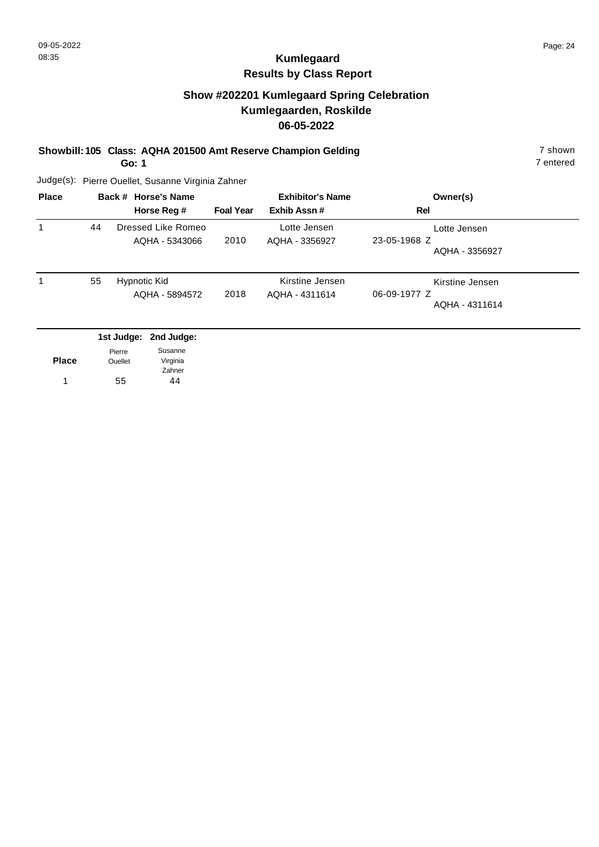## **Show #202201 Kumlegaard Spring Celebration Kumlegaarden, Roskilde 06-05-2022**

**Showbill: 105 Class: AQHA 201500 Amt Reserve Champion Gelding** 7 Shown 7 shown

**Go: 1**

7 entered

| <b>Place</b> |    | Back # Horse's Name<br>Horse Reg #   | <b>Foal Year</b> | <b>Exhibitor's Name</b><br>Exhib Assn# | Owner(s)<br>Rel                                   |
|--------------|----|--------------------------------------|------------------|----------------------------------------|---------------------------------------------------|
|              | 44 | Dressed Like Romeo<br>AQHA - 5343066 | 2010             | Lotte Jensen<br>AQHA - 3356927         | Lotte Jensen<br>23-05-1968 Z<br>AQHA - 3356927    |
|              | 55 | Hypnotic Kid<br>AQHA - 5894572       | 2018             | Kirstine Jensen<br>AQHA - 4311614      | Kirstine Jensen<br>06-09-1977 Z<br>AQHA - 4311614 |
|              |    | 1st Judge: 2nd Judge:                |                  |                                        |                                                   |

| <b>Place</b> | Pierre<br><b>Ouellet</b> | Susanne<br>Virginia |
|--------------|--------------------------|---------------------|
|              |                          | Zahner              |
| 1            | 55                       | 44                  |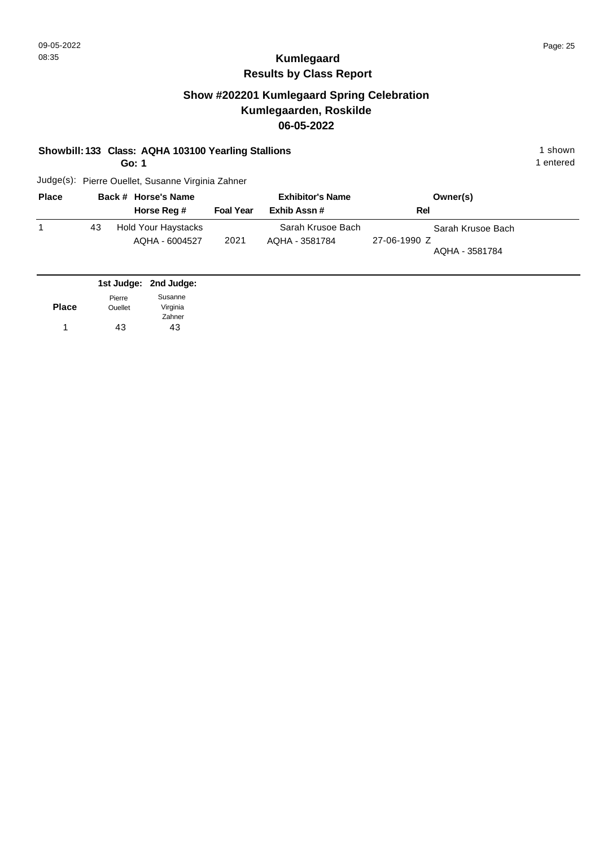### **Show #202201 Kumlegaard Spring Celebration Kumlegaarden, Roskilde 06-05-2022**

#### **Showbill: 133 Class: AQHA 103100 Yearling Stallions** 1 Shown 1 shown

**Go: 1**

1 entered

| <b>Place</b> |    | Back # Horse's Name                          |                  | <b>Exhibitor's Name</b>             | Owner(s)                                            |  |
|--------------|----|----------------------------------------------|------------------|-------------------------------------|-----------------------------------------------------|--|
|              |    | Horse Reg #                                  | <b>Foal Year</b> | Exhib Assn#                         | Rel                                                 |  |
|              | 43 | <b>Hold Your Haystacks</b><br>AQHA - 6004527 | 2021             | Sarah Krusoe Bach<br>AQHA - 3581784 | Sarah Krusoe Bach<br>27-06-1990 Z<br>AQHA - 3581784 |  |

|              |                | 1st Judge: 2nd Judge: |
|--------------|----------------|-----------------------|
|              | Pierre         | Susanne               |
| <b>Place</b> | <b>Ouellet</b> | Virginia              |
|              |                | Zahner                |
| 1            | 43             | 43                    |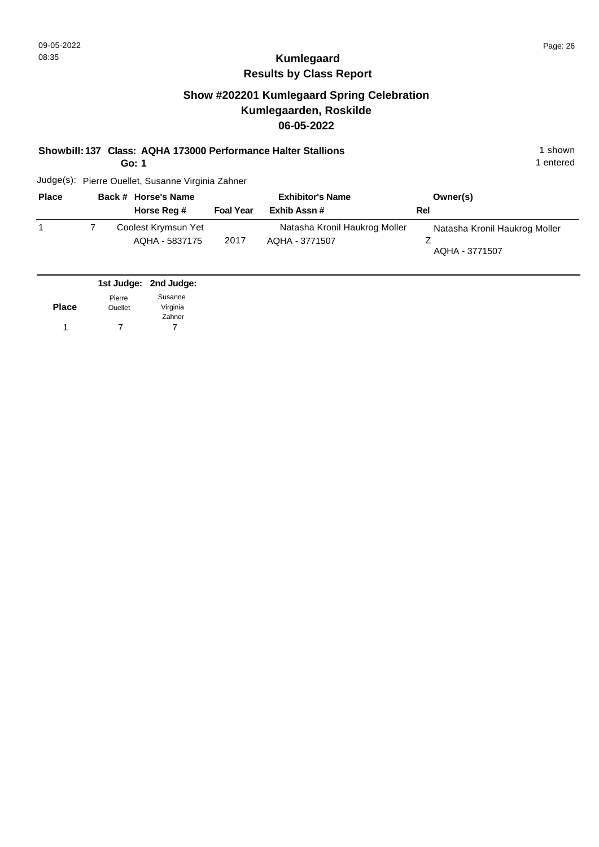### **Show #202201 Kumlegaard Spring Celebration Kumlegaarden, Roskilde 06-05-2022**

**Showbill: 137 Class: AQHA 173000 Performance Halter Stallions** 1 Shown 1 shown

**Go: 1**

1 entered

| <b>Place</b> | Back # Horse's Name                   |                  | <b>Exhibitor's Name</b>                         | Owner(s)                                        |
|--------------|---------------------------------------|------------------|-------------------------------------------------|-------------------------------------------------|
|              | Horse Reg #                           | <b>Foal Year</b> | Exhib Assn#                                     | Rel                                             |
|              | Coolest Krymsun Yet<br>AQHA - 5837175 | 2017             | Natasha Kronil Haukrog Moller<br>AQHA - 3771507 | Natasha Kronil Haukrog Moller<br>AQHA - 3771507 |

|              |                | 1st Judge: 2nd Judge: |
|--------------|----------------|-----------------------|
|              | Pierre         | Susanne               |
| <b>Place</b> | <b>Ouellet</b> | Virginia              |
|              |                | Zahner                |
|              |                |                       |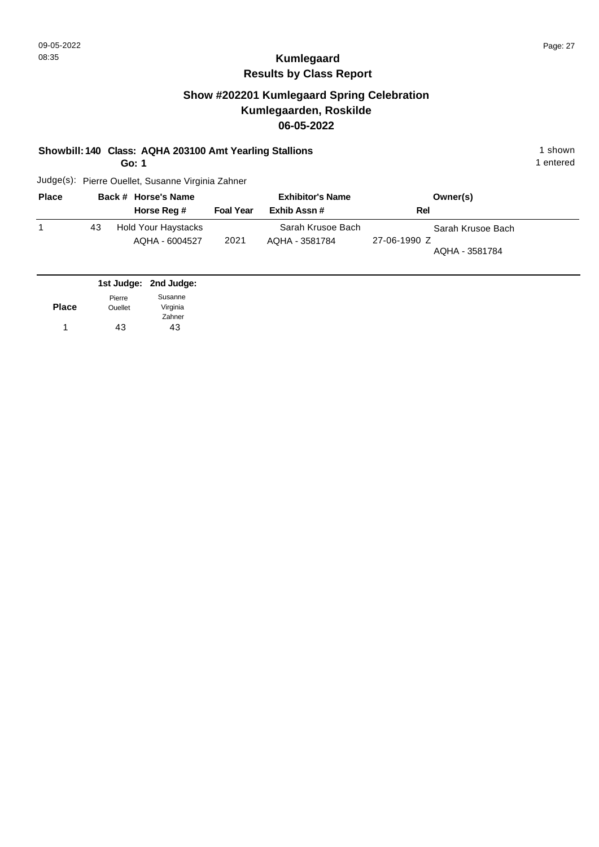### **Show #202201 Kumlegaard Spring Celebration Kumlegaarden, Roskilde 06-05-2022**

#### **Showbill: 140 Class: AQHA 203100 Amt Yearling Stallions** 1 Shown 1 shown

**Go: 1**

1 entered

| <b>Place</b> |    | Back # Horse's Name                   |                  | <b>Exhibitor's Name</b>             | Owner(s)                                            |  |
|--------------|----|---------------------------------------|------------------|-------------------------------------|-----------------------------------------------------|--|
|              |    | Horse Reg #                           | <b>Foal Year</b> | Exhib Assn#                         | Rel                                                 |  |
|              | 43 | Hold Your Haystacks<br>AQHA - 6004527 | 2021             | Sarah Krusoe Bach<br>AQHA - 3581784 | Sarah Krusoe Bach<br>27-06-1990 Z<br>AQHA - 3581784 |  |

|                | 1st Judge: 2nd Judge: |
|----------------|-----------------------|
| Pierre         | Susanne               |
| <b>Ouellet</b> | Virginia              |
|                | Zahner                |
| 43             | 43                    |
|                |                       |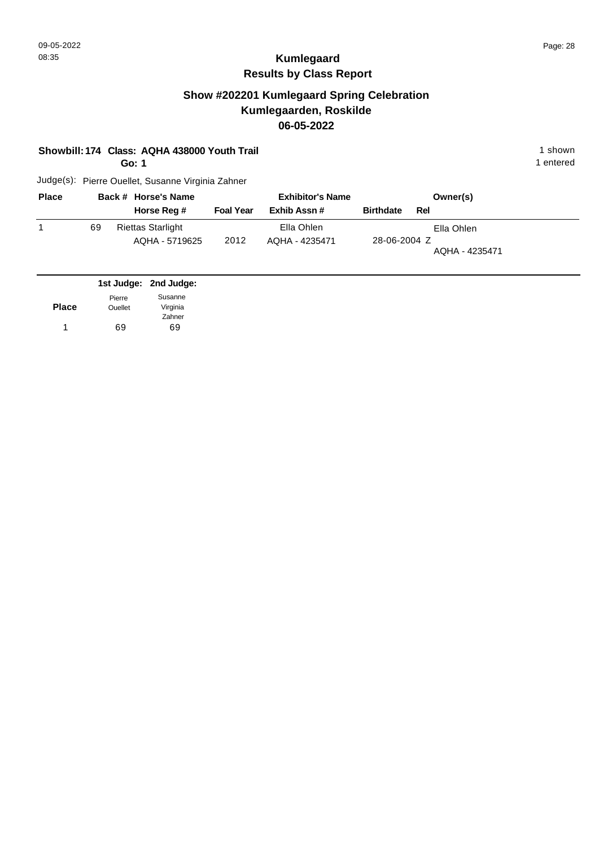### **Show #202201 Kumlegaard Spring Celebration Kumlegaarden, Roskilde 06-05-2022**

|  | Showbill: 174 Class: AQHA 438000 Youth Trail | 1 shown |
|--|----------------------------------------------|---------|
|--|----------------------------------------------|---------|

**Go: 1**

1 entered

| <b>Place</b> |    | Back # Horse's Name                        |                  | <b>Exhibitor's Name</b>      |                  |     | Owner(s)                     |
|--------------|----|--------------------------------------------|------------------|------------------------------|------------------|-----|------------------------------|
|              |    | Horse Reg #                                | <b>Foal Year</b> | Exhib Assn#                  | <b>Birthdate</b> | Rel |                              |
|              | 69 | <b>Riettas Starlight</b><br>AQHA - 5719625 | 2012             | Ella Ohlen<br>AQHA - 4235471 | 28-06-2004 Z     |     | Ella Ohlen<br>AQHA - 4235471 |

|              |                | 1st Judge: 2nd Judge: |
|--------------|----------------|-----------------------|
|              | Pierre         | Susanne               |
| <b>Place</b> | <b>Ouellet</b> | Virginia              |
|              |                | Zahner                |
| 1            | 69             | 69                    |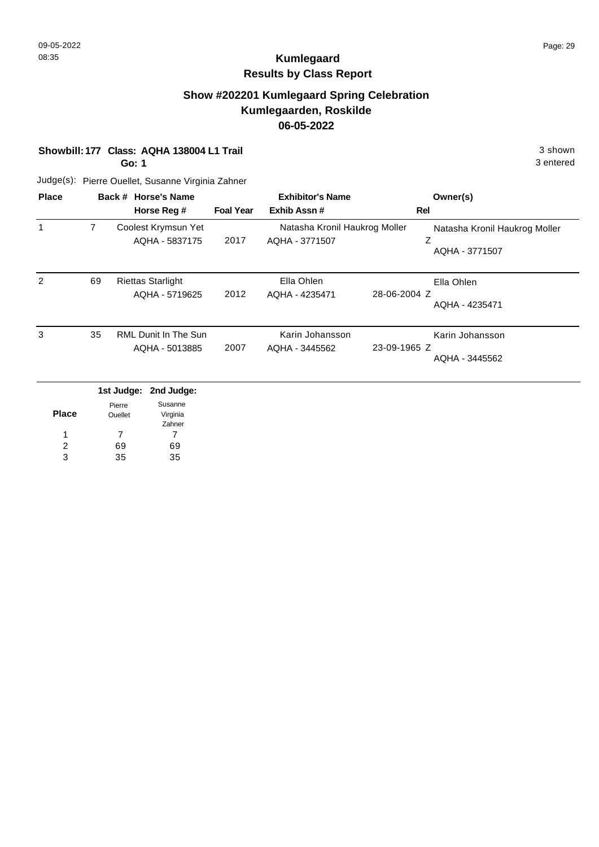### **Show #202201 Kumlegaard Spring Celebration Kumlegaarden, Roskilde 06-05-2022**

**Showbill: 177 Class: AQHA 138004 L1 Trail** 3 shown

**Go: 1**

3 entered

| <b>Place</b> |    | Back # Horse's Name<br>Horse Reg #         | <b>Foal Year</b> | <b>Exhibitor's Name</b><br>Exhib Assn#          | Owner(s)<br>Rel                                      |
|--------------|----|--------------------------------------------|------------------|-------------------------------------------------|------------------------------------------------------|
| 1            | 7  | Coolest Krymsun Yet<br>AQHA - 5837175      | 2017             | Natasha Kronil Haukrog Moller<br>AQHA - 3771507 | Natasha Kronil Haukrog Moller<br>Ζ<br>AQHA - 3771507 |
| 2            | 69 | <b>Riettas Starlight</b><br>AQHA - 5719625 | 2012             | Ella Ohlen<br>AQHA - 4235471                    | Ella Ohlen<br>28-06-2004 Z<br>AQHA - 4235471         |
| 3            | 35 | RML Dunit In The Sun<br>AQHA - 5013885     | 2007             | Karin Johansson<br>AQHA - 3445562               | Karin Johansson<br>23-09-1965 Z<br>AQHA - 3445562    |

|       |                          | 1st Judge: 2nd Judge: |
|-------|--------------------------|-----------------------|
| Place | Pierre<br><b>Ouellet</b> | Susanne<br>Virginia   |
|       |                          | Zahner                |
|       |                          |                       |
| 2     | 69                       | 69                    |
| ર     | 35                       | 35                    |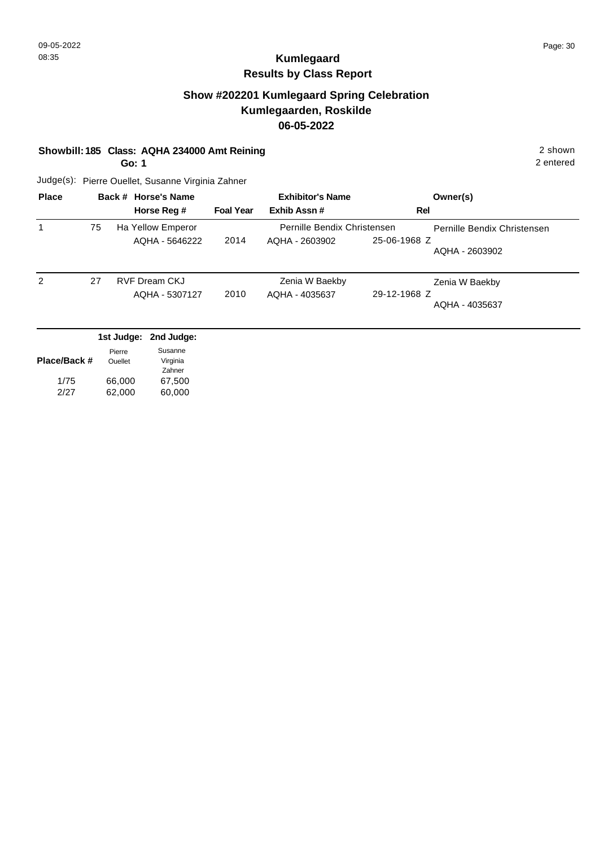### **Show #202201 Kumlegaard Spring Celebration Kumlegaarden, Roskilde 06-05-2022**

#### **Showbill: 185 Class: AQHA 234000 Amt Reining** 2 shown

**Go: 1**

2 entered

| <b>Place</b> |    | Back # Horse's Name  |                  | <b>Exhibitor's Name</b>     |              | Owner(s)                    |
|--------------|----|----------------------|------------------|-----------------------------|--------------|-----------------------------|
|              |    | Horse Reg #          | <b>Foal Year</b> | Exhib Assn#                 |              | Rel                         |
|              | 75 | Ha Yellow Emperor    |                  | Pernille Bendix Christensen |              | Pernille Bendix Christensen |
|              |    | AQHA - 5646222       | 2014             | AQHA - 2603902              | 25-06-1968 Z | AQHA - 2603902              |
| 2            | 27 | <b>RVF Dream CKJ</b> |                  | Zenia W Baekby              |              | Zenia W Baekby              |
|              |    | AQHA - 5307127       | 2010             | AQHA - 4035637              | 29-12-1968 Z | AQHA - 4035637              |

|              | Pierre         | Susanne  |
|--------------|----------------|----------|
| Place/Back # | <b>Ouellet</b> | Virginia |
|              |                | Zahner   |
| 1/75         | 66,000         | 67,500   |
| 2/27         | 62,000         | 60,000   |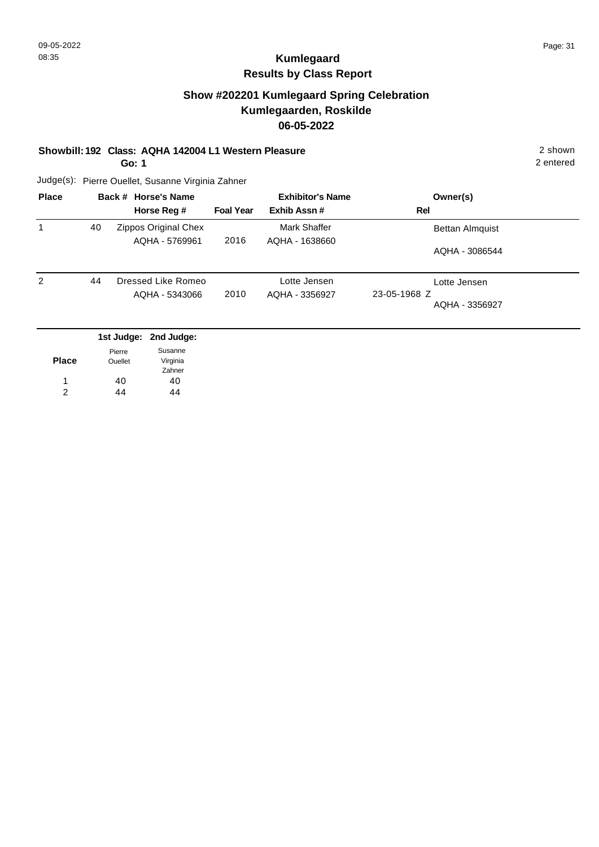### **Show #202201 Kumlegaard Spring Celebration Kumlegaarden, Roskilde 06-05-2022**

#### **Showbill: 192 Class: AQHA 142004 L1 Western Pleasure** 2 shown

**Go: 1**

2 entered

| <b>Place</b>   |    | Back # Horse's Name<br>Horse Reg #   | <b>Foal Year</b> | <b>Exhibitor's Name</b><br>Exhib Assn# | Owner(s)<br>Rel                                |
|----------------|----|--------------------------------------|------------------|----------------------------------------|------------------------------------------------|
|                |    |                                      |                  |                                        |                                                |
|                | 40 | Zippos Original Chex                 |                  | Mark Shaffer                           | <b>Bettan Almquist</b>                         |
|                |    | AQHA - 5769961                       | 2016             | AQHA - 1638660                         | AQHA - 3086544                                 |
| $\overline{2}$ | 44 | Dressed Like Romeo<br>AQHA - 5343066 | 2010             | Lotte Jensen<br>AQHA - 3356927         | Lotte Jensen<br>23-05-1968 Z<br>AQHA - 3356927 |

|                | 1st Judge: 2nd Judge: |
|----------------|-----------------------|
| Pierre         | Susanne               |
| <b>Ouellet</b> | Virginia              |
|                | Zahner                |
| 40             | 40                    |
| 44             | 44                    |
|                |                       |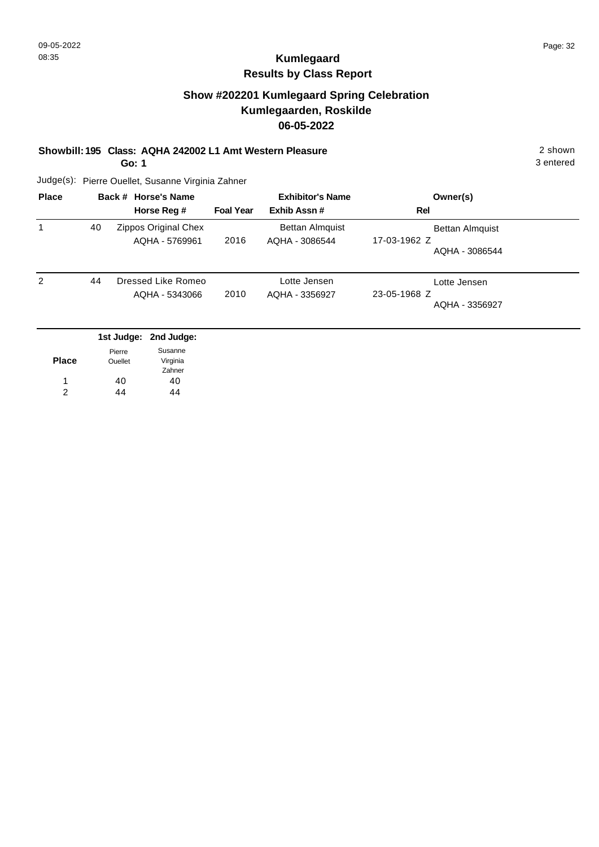### **Show #202201 Kumlegaard Spring Celebration Kumlegaarden, Roskilde 06-05-2022**

**Showbill: 195 Class: AQHA 242002 L1 Amt Western Pleasure** 2 shown

**Go: 1**

3 entered

| <b>Place</b> |    | Back # Horse's Name<br>Horse Reg #     | <b>Foal Year</b> | <b>Exhibitor's Name</b><br>Exhib Assn#   | Owner(s)<br>Rel                                          |
|--------------|----|----------------------------------------|------------------|------------------------------------------|----------------------------------------------------------|
|              | 40 | Zippos Original Chex<br>AQHA - 5769961 | 2016             | <b>Bettan Almquist</b><br>AQHA - 3086544 | <b>Bettan Almquist</b><br>17-03-1962 Z<br>AQHA - 3086544 |
| 2            | 44 | Dressed Like Romeo<br>AQHA - 5343066   | 2010             | Lotte Jensen<br>AQHA - 3356927           | Lotte Jensen<br>23-05-1968 Z<br>AQHA - 3356927           |

|              |                | 1st Judge: 2nd Judge: |
|--------------|----------------|-----------------------|
|              | Pierre         | Susanne               |
| <b>Place</b> | <b>Ouellet</b> | Virginia              |
|              |                | Zahner                |
| 1            | 40             | 40                    |
| 2            | 44             | 44                    |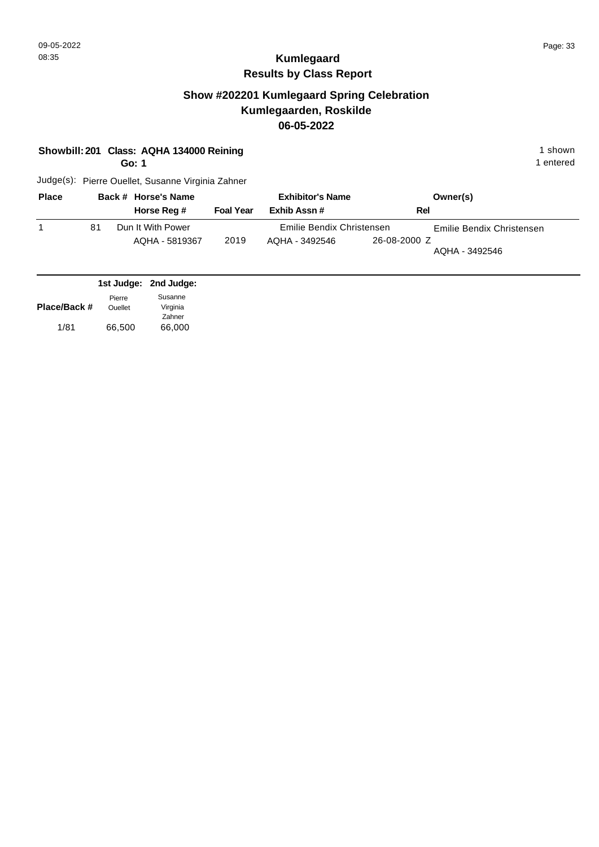## **Show #202201 Kumlegaard Spring Celebration Kumlegaarden, Roskilde 06-05-2022**

|                      |                                    | Showbill: 201 Class: AQHA 134000 Reining<br>Go: 1 |                  |                                             |              | 1 shown<br>1 entered                        |
|----------------------|------------------------------------|---------------------------------------------------|------------------|---------------------------------------------|--------------|---------------------------------------------|
|                      |                                    | Judge(s): Pierre Ouellet, Susanne Virginia Zahner |                  |                                             |              |                                             |
| <b>Place</b>         |                                    | Back # Horse's Name<br>Horse Reg #                | <b>Foal Year</b> | <b>Exhibitor's Name</b><br>Exhib Assn#      | Rel          | Owner(s)                                    |
| 1                    | 81                                 | Dun It With Power<br>AOHA - 5819367               | 2019             | Emilie Bendix Christensen<br>AQHA - 3492546 | 26-08-2000 Z | Emilie Bendix Christensen<br>AQHA - 3492546 |
|                      | 1st Judge:                         | 2nd Judge:                                        |                  |                                             |              |                                             |
| Place/Back #<br>1/81 | Pierre<br><b>Ouellet</b><br>66,500 | Susanne<br>Virginia<br>Zahner<br>66,000           |                  |                                             |              |                                             |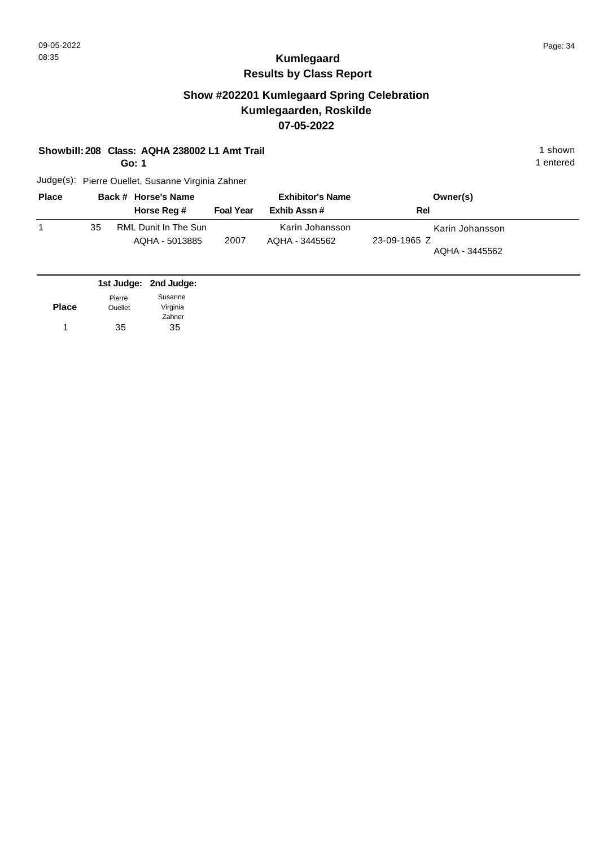### **Show #202201 Kumlegaard Spring Celebration Kumlegaarden, Roskilde 07-05-2022**

#### **Showbill: 208 Class: AQHA 238002 L1 Amt Trail 1 shown 1 shown 1 shown**

**Go: 1**

1 entered

| <b>Place</b> |    | Back # Horse's Name                    |                  | <b>Exhibitor's Name</b>           | Owner(s)                                          |
|--------------|----|----------------------------------------|------------------|-----------------------------------|---------------------------------------------------|
|              |    | Horse Reg #                            | <b>Foal Year</b> | Exhib Assn#                       | Rel                                               |
|              | 35 | RML Dunit In The Sun<br>AQHA - 5013885 | 2007             | Karin Johansson<br>AOHA - 3445562 | Karin Johansson<br>23-09-1965 Z<br>AQHA - 3445562 |

|              |                | 1st Judge: 2nd Judge: |
|--------------|----------------|-----------------------|
|              | Pierre         | Susanne               |
| <b>Place</b> | <b>Ouellet</b> | Virginia              |
|              |                | Zahner                |
|              | 35             | 35                    |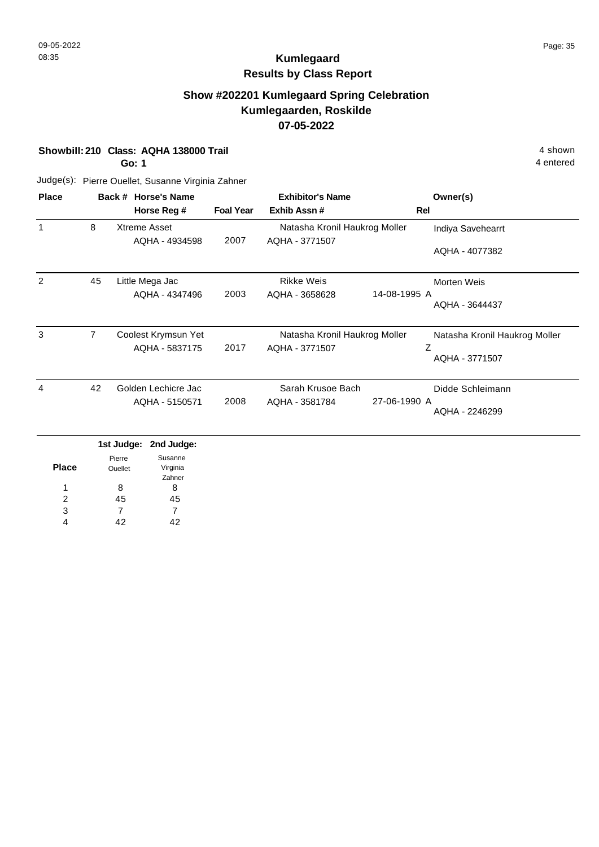### **Show #202201 Kumlegaard Spring Celebration Kumlegaarden, Roskilde 07-05-2022**

**Showbill: 210 Class: AQHA 138000 Trail** 4 shown

**Go: 1**

4 entered

| <b>Place</b> |                | Back # Horse's Name |                  | <b>Exhibitor's Name</b>       | Owner(s)                       |
|--------------|----------------|---------------------|------------------|-------------------------------|--------------------------------|
|              |                | Horse Reg #         | <b>Foal Year</b> | Exhib Assn#                   | Rel                            |
| 1            | 8              | Xtreme Asset        |                  | Natasha Kronil Haukrog Moller | Indiya Savehearrt              |
|              |                | AQHA - 4934598      | 2007             | AQHA - 3771507                | AQHA - 4077382                 |
| 2            | 45             | Little Mega Jac     |                  | <b>Rikke Weis</b>             | Morten Weis                    |
|              |                | AQHA - 4347496      | 2003             | AQHA - 3658628                | 14-08-1995 A<br>AQHA - 3644437 |
| 3            | $\overline{7}$ | Coolest Krymsun Yet |                  | Natasha Kronil Haukrog Moller | Natasha Kronil Haukrog Moller  |
|              |                | AQHA - 5837175      | 2017             | AQHA - 3771507                | Ζ<br>AQHA - 3771507            |
| 4            | 42             | Golden Lechicre Jac |                  | Sarah Krusoe Bach             | Didde Schleimann               |
|              |                | AQHA - 5150571      | 2008             | AQHA - 3581784                | 27-06-1990 A<br>AQHA - 2246299 |

|               | . <u>.</u> | ----     |
|---------------|------------|----------|
|               | Pierre     | Susanne  |
| <b>Place</b>  | Ouellet    | Virginia |
|               |            | Zahner   |
| 1             | 8          | 8        |
| $\mathcal{P}$ | 45         | 45       |
| 3             |            |          |
|               | 42         | 42       |
|               |            |          |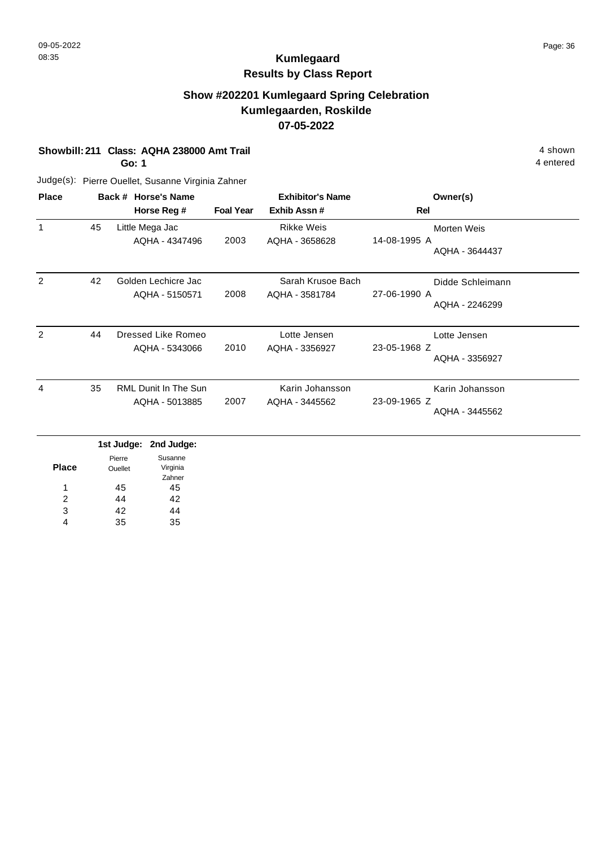## **Show #202201 Kumlegaard Spring Celebration Kumlegaarden, Roskilde 07-05-2022**

**Showbill: 211 Class: AQHA 238000 Amt Trail 4 shown 4 shown 4 shown 4 shown** 

**Go: 1**

4 entered

| <b>Place</b>   |    | Back # Horse's Name                           |                  | <b>Exhibitor's Name</b>             | Owner(s)                                           |
|----------------|----|-----------------------------------------------|------------------|-------------------------------------|----------------------------------------------------|
|                |    | Horse Reg #                                   | <b>Foal Year</b> | Exhib Assn#                         | Rel                                                |
| 1              | 45 | Little Mega Jac<br>AQHA - 4347496             | 2003             | <b>Rikke Weis</b><br>AQHA - 3658628 | Morten Weis<br>14-08-1995 A<br>AQHA - 3644437      |
| $\overline{2}$ | 42 | Golden Lechicre Jac<br>AQHA - 5150571         | 2008             | Sarah Krusoe Bach<br>AQHA - 3581784 | Didde Schleimann<br>27-06-1990 A<br>AQHA - 2246299 |
| 2              | 44 | Dressed Like Romeo<br>AQHA - 5343066          | 2010             | Lotte Jensen<br>AQHA - 3356927      | Lotte Jensen<br>23-05-1968 Z<br>AQHA - 3356927     |
| 4              | 35 | <b>RML Dunit In The Sun</b><br>AQHA - 5013885 | 2007             | Karin Johansson<br>AQHA - 3445562   | Karin Johansson<br>23-09-1965 Z<br>AQHA - 3445562  |

|       |                | 1st Judge: 2nd Judge: |
|-------|----------------|-----------------------|
|       | Pierre         | Susanne               |
| Place | <b>Ouellet</b> | Virginia              |
|       |                | Zahner                |
| 1     | 45             | 45                    |
| 2     | 44             | 42                    |
| 3     | 42             | 44                    |
|       | 35             | 35                    |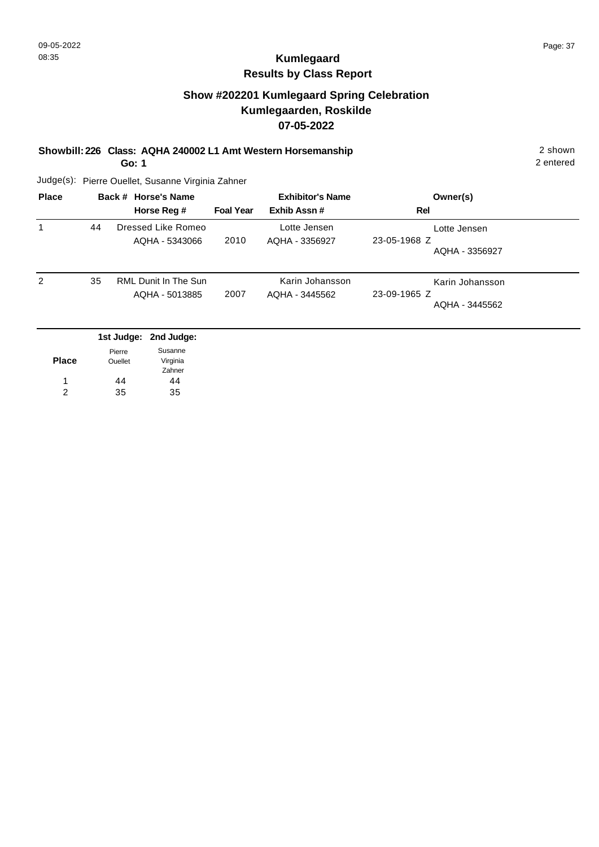## **Show #202201 Kumlegaard Spring Celebration Kumlegaarden, Roskilde 07-05-2022**

**Showbill: 226 Class: AQHA 240002 L1 Amt Western Horsemanship** 2 shown

**Go: 1**

2 entered

| <b>Place</b> |    | Back # Horse's Name<br>Horse Reg #            | <b>Foal Year</b> | <b>Exhibitor's Name</b><br>Exhib Assn# | Owner(s)<br>Rel                                   |
|--------------|----|-----------------------------------------------|------------------|----------------------------------------|---------------------------------------------------|
|              | 44 | Dressed Like Romeo<br>AQHA - 5343066          | 2010             | Lotte Jensen<br>AQHA - 3356927         | Lotte Jensen<br>23-05-1968 Z<br>AQHA - 3356927    |
| 2            | 35 | <b>RML Dunit In The Sun</b><br>AQHA - 5013885 | 2007             | Karin Johansson<br>AQHA - 3445562      | Karin Johansson<br>23-09-1965 Z<br>AQHA - 3445562 |

|              |                | 1st Judge: 2nd Judge: |
|--------------|----------------|-----------------------|
|              | Pierre         | Susanne               |
| <b>Place</b> | <b>Ouellet</b> | Virginia              |
|              |                | Zahner                |
| 1            | 44             | 44                    |
| 2            | 35             | 35                    |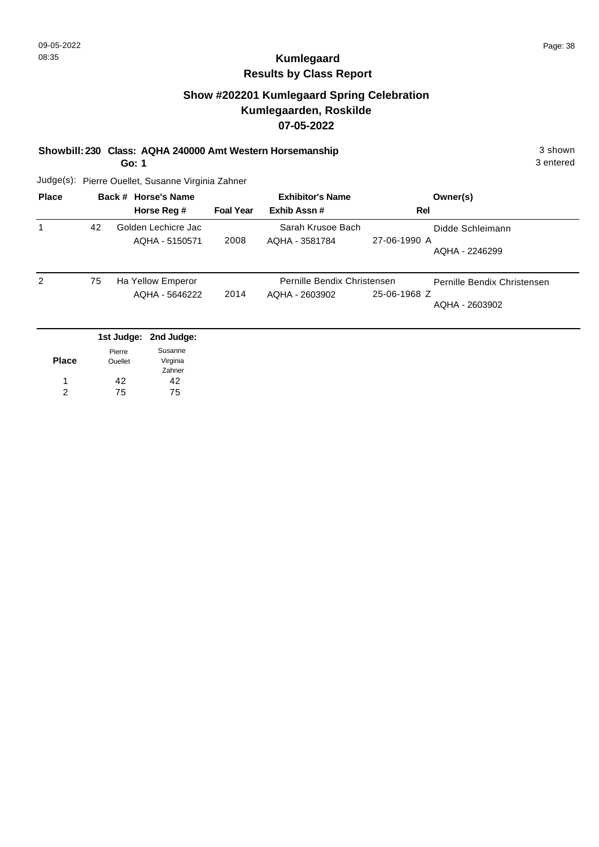### **Show #202201 Kumlegaard Spring Celebration Kumlegaarden, Roskilde 07-05-2022**

**Showbill: 230 Class: AQHA 240000 Amt Western Horsemanship** 3 shown

**Go: 1**

3 entered

| <b>Place</b> | Back # Horse's Name |                       | <b>Exhibitor's Name</b> |                             | Owner(s)                       |
|--------------|---------------------|-----------------------|-------------------------|-----------------------------|--------------------------------|
|              |                     | Horse Reg #           | <b>Foal Year</b>        | Exhib Assn #                | <b>Rel</b>                     |
| 1            | 42                  | Golden Lechicre Jac   |                         | Sarah Krusoe Bach           | Didde Schleimann               |
|              |                     | AQHA - 5150571        | 2008                    | AQHA - 3581784              | 27-06-1990 A<br>AOHA - 2246299 |
| 2            | 75                  | Ha Yellow Emperor     |                         | Pernille Bendix Christensen | Pernille Bendix Christensen    |
|              |                     | AQHA - 5646222        | 2014                    | AQHA - 2603902              | 25-06-1968 Z                   |
|              |                     |                       |                         |                             | AQHA - 2603902                 |
|              |                     | 1st Judge: 2nd Judge: |                         |                             |                                |

| <b>Place</b> | Pierre<br><b>Ouellet</b> | Susanne<br>Virginia |
|--------------|--------------------------|---------------------|
|              |                          | Zahner              |
|              | 42                       | 42                  |
| 2            | 75                       | 75                  |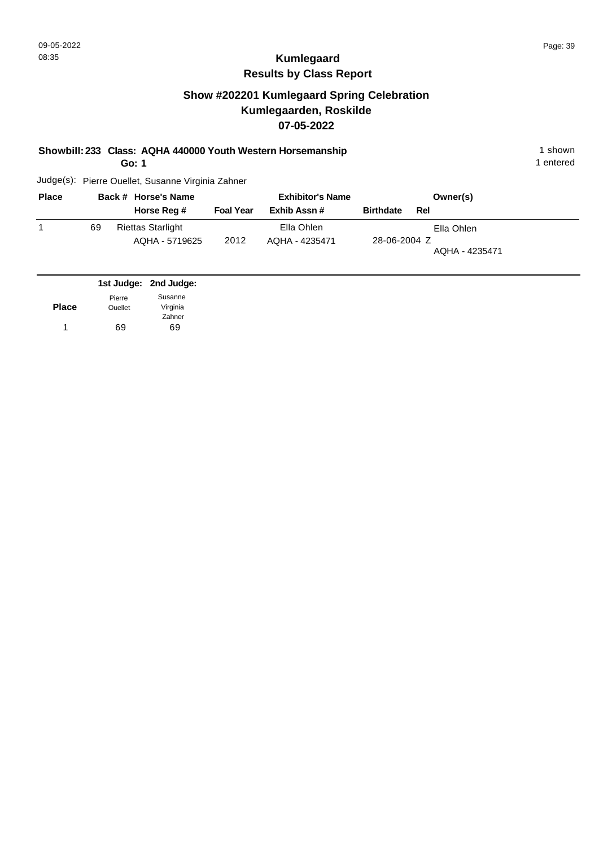## **Show #202201 Kumlegaard Spring Celebration Kumlegaarden, Roskilde 07-05-2022**

**Showbill: 233 Class: AQHA 440000 Youth Western Horsemanship** 1 shown 1 shown

**Go: 1**

1 entered

| <b>Place</b> |    | Back # Horse's Name                        |                  | <b>Exhibitor's Name</b>      |                  | Owner(s)                     |
|--------------|----|--------------------------------------------|------------------|------------------------------|------------------|------------------------------|
|              |    | Horse Reg #                                | <b>Foal Year</b> | Exhib Assn#                  | <b>Birthdate</b> | Rel                          |
|              | 69 | <b>Riettas Starlight</b><br>AQHA - 5719625 | 2012             | Ella Ohlen<br>AQHA - 4235471 | 28-06-2004 Z     | Ella Ohlen<br>AQHA - 4235471 |

|              |                | 1st Judge: 2nd Judge: |
|--------------|----------------|-----------------------|
|              | Pierre         | Susanne               |
| <b>Place</b> | <b>Ouellet</b> | Virginia              |
|              |                | Zahner                |
| 1            | 69             | 69                    |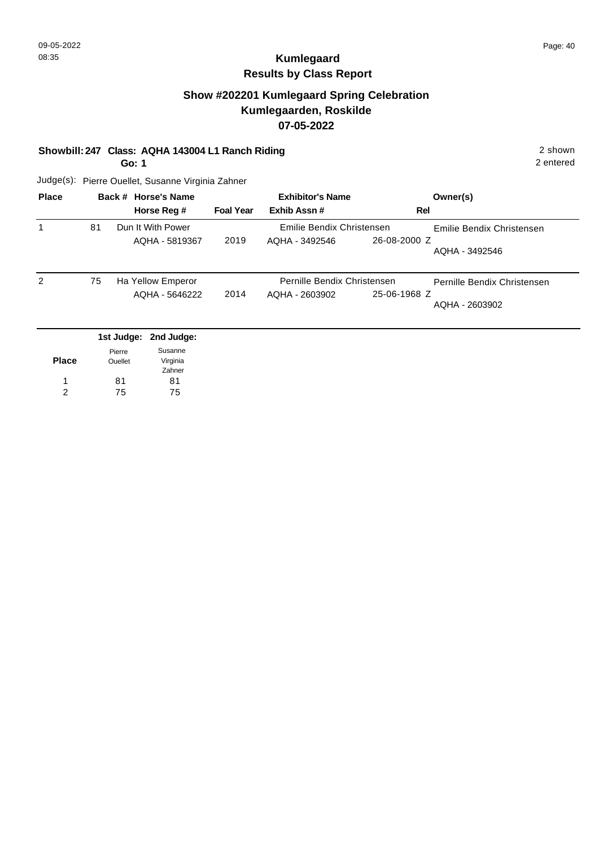### **Show #202201 Kumlegaard Spring Celebration Kumlegaarden, Roskilde 07-05-2022**

#### **Showbill: 247 Class: AQHA 143004 L1 Ranch Riding** 2 shown

**Go: 1**

2 entered

| <b>Place</b>   | Back # Horse's Name |                                     | <b>Exhibitor's Name</b> |                                               |              | Owner(s)                                      |
|----------------|---------------------|-------------------------------------|-------------------------|-----------------------------------------------|--------------|-----------------------------------------------|
|                |                     | Horse Reg #                         | <b>Foal Year</b>        | Exhib Assn#                                   | Rel          |                                               |
|                | 81                  | Dun It With Power<br>AOHA - 5819367 | 2019                    | Emilie Bendix Christensen<br>AQHA - 3492546   | 26-08-2000 Z | Emilie Bendix Christensen<br>AQHA - 3492546   |
| $\overline{2}$ | 75                  | Ha Yellow Emperor<br>AQHA - 5646222 | 2014                    | Pernille Bendix Christensen<br>AQHA - 2603902 | 25-06-1968 Z | Pernille Bendix Christensen<br>AQHA - 2603902 |
|                |                     | 1st Judge: 2nd Judge:               |                         |                                               |              |                                               |

| <b>Place</b> | Pierre<br><b>Ouellet</b> | Susanne<br>Virginia |
|--------------|--------------------------|---------------------|
|              |                          | Zahner              |
|              | 81                       | 81                  |
| 2            | 75                       | 75                  |